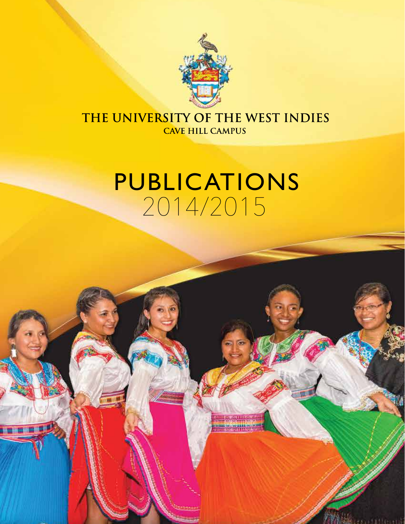

### THE UNIVERSITY OF THE WEST INDIES **CAVE HILL CAMPUS**

## PUBLICATIONS 2014/2015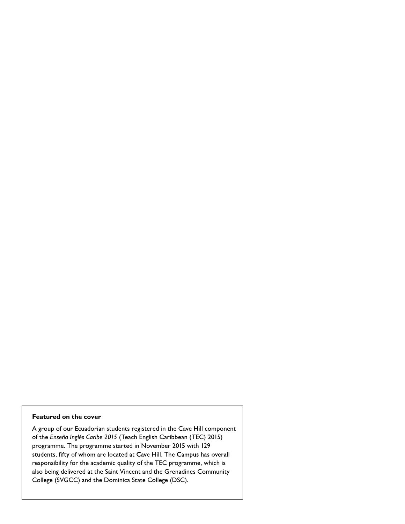#### **Featured on the cover**

A group of our Ecuadorian students registered in the Cave Hill component of the *Enseña Inglés Caribe 2015* (Teach English Caribbean (TEC) 2015) programme. The programme started in November 2015 with 129 students, fifty of whom are located at Cave Hill. The Campus has overall responsibility for the academic quality of the TEC programme, which is also being delivered at the Saint Vincent and the Grenadines Community College (SVGCC) and the Dominica State College (DSC).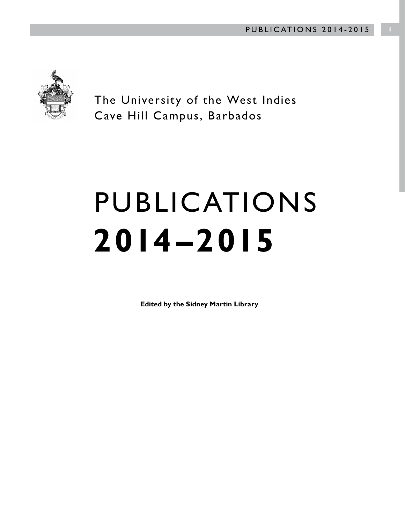

The University of the West Indies Cave Hill Campus, Barbados

# PUBLICATIONS **2014 –2015**

**Edited by the Sidney Martin Library**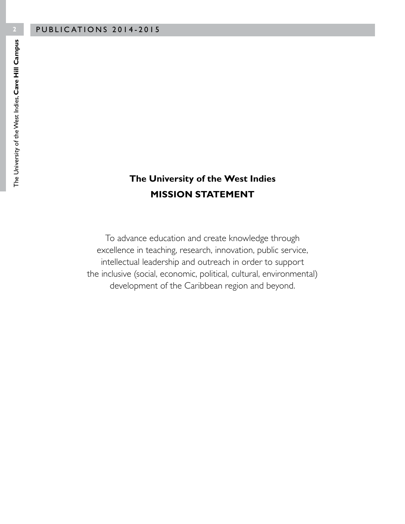#### **The University of the West Indies MISSION STATEMENT**

To advance education and create knowledge through excellence in teaching, research, innovation, public service, intellectual leadership and outreach in order to support the inclusive (social, economic, political, cultural, environmental) development of the Caribbean region and beyond.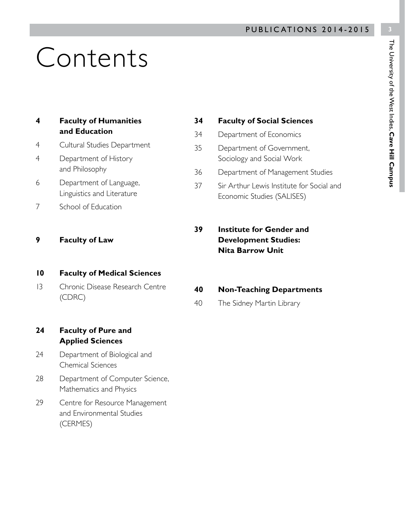# Contents

| 4 | <b>Faculty of Humanities</b> |
|---|------------------------------|
|   | and Education                |

- 4 Cultural Studies Department
- 4 Department of History and Philosophy
- 6 Department of Language, Linguistics and Literature
- 7 School of Education
- **9 Faculty of Law**

#### **10 Faculty of Medical Sciences**

- 13 Chronic Disease Research Centre (CDRC)
- **24 Faculty of Pure and Applied Sciences**
- 24 Department of Biological and Chemical Sciences
- 28 Department of Computer Science, Mathematics and Physics
- 29 Centre for Resource Management and Environmental Studies (CERMES)

#### **34 Faculty of Social Sciences**

- 34 Department of Economics
- 35 Department of Government, Sociology and Social Work
- 36 Department of Management Studies
- 37 Sir Arthur Lewis Institute for Social and Economic Studies (SALISES)
- **39 Institute for Gender and Development Studies: Nita Barrow Unit**
- **40 Non-Teaching Departments**
- 40 The Sidney Martin Library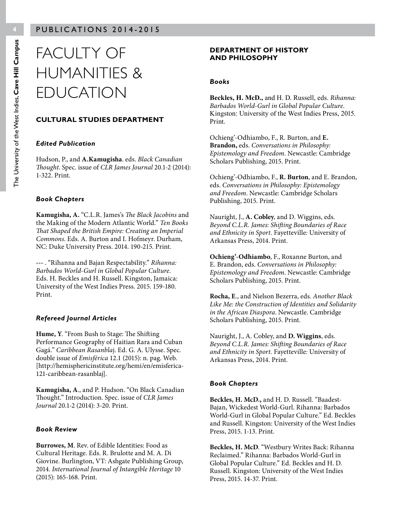## FACULTY OF HUMANITIES & EDUCATION

#### **CULTURAL STUDIES DEPARTMENT**

#### *Edited Publication*

Hudson, P., and **A.Kamugisha**. eds. *Black Canadian Thought*. Spec. issue of *CLR James Journal* 20.1-2 (2014): 1-322. Print.

#### *Book Chapters*

**Kamugisha, A.** "C.L.R. James's *The Black Jacobins* and the Making of the Modern Atlantic World." *Ten Books That Shaped the British Empire: Creating an Imperial Commons*. Eds. A. Burton and I. Hofmeyr. Durham, NC: Duke University Press. 2014. 190-215. Print.

**---** . "Rihanna and Bajan Respectability." *Rihanna: Barbados World-Gurl in Global Popular Culture*. Eds. H. Beckles and H. Russell. Kingston, Jamaica: University of the West Indies Press. 2015. 159-180. Print.

#### *Refereed Journal Articles*

**Hume, Y**. "From Bush to Stage: The Shifting Performance Geography of Haitian Rara and Cuban Gagá." *Caribbean Rasanbla*j. Ed. G. A. Ulysse. Spec. double issue of *Emisférica* 12.1 (2015): n. pag. Web. [http://hemisphericinstitute.org/hemi/en/emisferica-121-caribbean-rasanblaj].

**Kamugisha, A**., and P. Hudson. "On Black Canadian Thought." Introduction. Spec. issue of *CLR James Journal* 20.1-2 (2014): 3-20. Print.

#### *Book Review*

**Burrowes, M**. Rev. of Edible Identities: Food as Cultural Heritage. Eds. R. Brulotte and M. A. Di Giovine. Burlington, VT: Ashgate Publishing Group, 2014. *International Journal of Intangible Heritage* 10 (2015): 165-168. Print.

#### **DEPARTMENT OF HISTORY AND PHILOSOPHY**

#### *Books*

**Beckles, H. McD.,** and H. D. Russell, eds. *Rihanna: Barbados World-Gurl in Global Popular Culture.* Kingston: University of the West Indies Press, 2015. Print.

Ochieng'-Odhiambo, F., R. Burton, and **E. Brandon,** eds. *Conversations in Philosophy: Epistemology and Freedom*. Newcastle: Cambridge Scholars Publishing, 2015. Print.

Ochieng'-Odhiambo, F., **R. Burton**, and E. Brandon, eds. *Conversations in Philosophy: Epistemology and Freedom*. Newcastle: Cambridge Scholars Publishing, 2015. Print.

Nauright, J., **A. Cobley**, and D. Wiggins, eds. *Beyond C.L.R. James: Shifting Boundaries of Race and Ethnicity in Sport.* Fayetteville*:* University of Arkansas Press, 2014. Print.

**Ochieng'-Odhiambo**, F., Roxanne Burton, and E. Brandon, eds. *Conversations in Philosophy: Epistemology and Freedom*. Newcastle: Cambridge Scholars Publishing, 2015. Print.

**Rocha, E**., and Nielson Bezerra, eds. *Another Black Like Me: the Construction of Identities and Solidarity in the African Diaspora*. Newcastle. Cambridge Scholars Publishing, 2015. Print.

Nauright, J., A. Cobley, and **D. Wiggins**, eds. *Beyond C.L.R. James: Shifting Boundaries of Race and Ethnicity in Sport.* Fayetteville*:* University of Arkansas Press, 2014. Print.

#### *Book Chapters*

**Beckles, H. McD.,** and H. D. Russell. "Baadest-Bajan, Wickedest World-Gurl. Rihanna: Barbados World-Gurl in Global Popular Culture." Ed. Beckles and Russell. Kingston: University of the West Indies Press, 2015. 1-13. Print.

**Beckles, H. McD**. "Westbury Writes Back: Rihanna Reclaimed." Rihanna: Barbados World-Gurl in Global Popular Culture." Ed. Beckles and H. D. Russell. Kingston: University of the West Indies Press, 2015. 14-37. Print.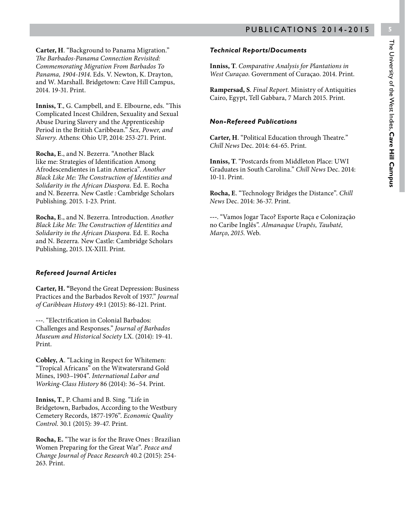**Carter, H**. "Background to Panama Migration." *The Barbados-Panama Connection Revisited: Commemorating Migration From Barbados To Panama, 1904-1914*. Eds. V. Newton, K. Drayton, and W. Marshall. Bridgetown: Cave Hill Campus, 2014. 19-31. Print.

**Inniss, T**., G. Campbell, and E. Elbourne, eds. "This Complicated Incest Children, Sexuality and Sexual Abuse During Slavery and the Apprenticeship Period in the British Caribbean." *Sex, Power, and Slavery*. Athens: Ohio UP, 2014: 253-271. Print.

**Rocha, E**., and N. Bezerra. "Another Black like me: Strategies of Identification Among Afrodescendientes in Latin America". *Another Black Like Me: The Construction of Identities and Solidarity in the African Diaspora.* Ed. E. Rocha and N. Bezerra*.* New Castle : Cambridge Scholars Publishing. 2015. 1-23. Print.

**Rocha, E**., and N. Bezerra. Introduction. *Another Black Like Me: The Construction of Identities and Solidarity in the African Diaspora.* Ed. E. Rocha and N. Bezerra*.* New Castle: Cambridge Scholars Publishing, 2015. IX-XIII. Print.

#### *Refereed Journal Articles*

**Carter, H. "**Beyond the Great Depression: Business Practices and the Barbados Revolt of 1937." *Journal of Caribbean History* 49:1 (2015): 86-121. Print.

**---**. "Electrification in Colonial Barbados: Challenges and Responses." *Journal of Barbados Museum and Historical Society* LX. (2014): 19-41. Print.

**Cobley, A**. "Lacking in Respect for Whitemen: "Tropical Africans" on the Witwatersrand Gold Mines, 1903–1904". *International Labor and Working-Class History* 86 (2014): 36–54. Print.

**Inniss, T**., P. Chami and B. Sing. "Life in Bridgetown, Barbados, According to the Westbury Cemetery Records, 1877-1976". *Economic Quality Control*. 30.1 (2015): 39-47. Print.

**Rocha, E.** "The war is for the Brave Ones : Brazilian Women Preparing for the Great War". *Peace and Change Journal of Peace Research* 40.2 (2015): 254- 263. Print.

#### *Technical Reports/Documents*

**Inniss, T**. *Comparative Analysis for Plantations in West Curaçao.* Government of Curaçao. 2014. Print.

**Rampersad, S**. *Final Report.* Ministry of Antiquities Cairo, Egypt, Tell Gabbara, 7 March 2015. Print.

#### *Non-Refereed Publications*

**Carter, H**. "Political Education through Theatre*.*" *Chill News* Dec. 2014: 64-65. Print.

**Inniss, T**. "Postcards from Middleton Place: UWI Graduates in South Carolina." *Chill News* Dec. 2014: 10-11. Print.

**Rocha, E**. "Technology Bridges the Distance". *Chill News* Dec. 2014: 36-37. Print.

**---**. "Vamos Jogar Taco? Esporte Raça e Colonização no Caribe Inglês*". Almanaque Urupês, Taubaté, Março*, *2015*. Web.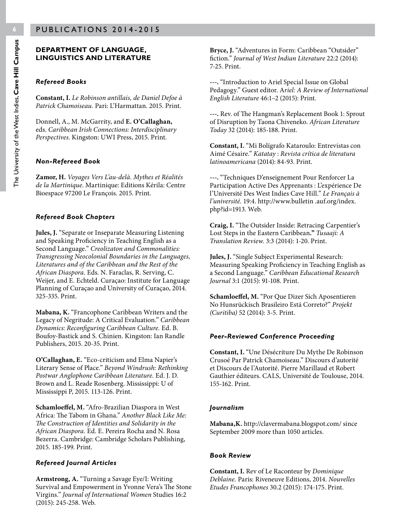#### **DEPARTMENT OF LANGUAGE, LINGUISTICS AND LITERATURE**

#### *Refereed Books*

**Constant, I.** *Le Robinson antillais, de Daniel Defoe à Patrick Chamoiseau.* Pari: L'Harmattan. 2015. Print.

Donnell, A., M. McGarrity, and **E. O'Callaghan,**  eds. *Caribbean Irish Connections: Interdisciplinary Perspectives*. Kingston: UWI Press, 2015. Print.

#### *Non-Refereed Book*

**Zamor, H.** *Voyages Vers L'au-delà. Mythes et Réalités de la Martinique*. Martinique: Editions Kérila: Centre Bioespace 97200 Le François. 2015. Print.

#### *Refereed Book Chapters*

**Jules, J.** "Separate or Inseparate Measuring Listening and Speaking Proficiency in Teaching English as a Second Language." *Creolizaton and Commonalities: Transgressing Neocolonial Boundaries in the Languages, Literatures and of the Caribbean and the Rest of the African Diaspora.* Eds. N. Faraclas, R. Serving, C. Weijer, and E. Echteld. Curaçao: Institute for Language Planning of Curaçao and University of Curaçao, 2014. 325-335. Print.

**Mabana, K.** "Francophone Caribbean Writers and the Legacy of Negritude: A Critical Evaluation." *Caribbean Dynamics: Reconfiguring Caribbean Culture.* Ed. B. Boufoy-Bastick and S. Chinien. Kingston: Ian Randle Publishers, 2015. 20-35. Print.

**O'Callaghan, E.** "Eco-criticism and Elma Napier's Literary Sense of Place." *Beyond Windrush: Rethinking Postwar Anglophone Caribbean Literature.* Ed. J. D. Brown and L. Reade Rosenberg. Mississippi: U of Mississippi P, 2015. 113-126. Print.

**Schamloeffel, M.** "Afro-Brazilian Diaspora in West Africa: The Tabom in Ghana." *Another Black Like Me: The Construction of Identities and Solidarity in the African Diaspora.* Ed. E. Pereira Rocha and N. Rosa Bezerra. Cambridge: Cambridge Scholars Publishing, 2015. 185-199. Print.

#### *Refereed Journal Articles*

**Armstrong, A.** "Turning a Savage Eye/I: Writing Survival and Empowerment in Yvonne Vera's The Stone Virgins." *Journal of International Women* Studies 16:2 (2015): 245-258. Web.

**Bryce, J.** "Adventures in Form: Caribbean "Outsider" fiction." *Journal of West Indian Literature* 22:2 (2014): 7-25. Print.

**---.** "Introduction to Ariel Special Issue on Global Pedagogy." Guest editor. A*riel: A Review of International English Literature* 46:1–2 (2015): Print.

**---.** Rev. of The Hangman's Replacement Book 1: Sprout of Disruption by Taona Chiveneko. *African Literature Today* 32 (2014): 185-188. Print.

**Constant, I.** "Mi Bolígrafo Kataroulo: Entrevistas con Aimé Césaire." *Katatay* : *Revista crítica de literatura latinoamericana* (2014): 84-93. Print.

**---.** "Techniques D'enseignement Pour Renforcer La Participation Active Des Apprenants : L'expérience De l'Université Des West Indies Cave Hill." *Le Français à l'université.* 19:4. http://www.bulletin .auf.org/index. php?id=1913. Web.

**Craig, I.** "The Outsider Inside: Retracing Carpentier's Lost Steps in the Eastern Caribbean**."** *Tusaaji: A Translation Review.* 3:3 (2014): 1-20. Print.

**Jules, J.** "Single Subject Experimental Research: Measuring Speaking Proficiency in Teaching English as a Second Language." *Caribbean Educational Research Journal* 3:1 (2015): 91-108. Print.

**Schamloeffel, M.** "Por Que Dizer Sich Aposentieren No Hunsrückisch Brasileiro Está Correto?" *Projekt (Curitiba)* 52 (2014): 3-5. Print.

#### *Peer-Reviewed Conference Proceeding*

**Constant, I.** "Une Désécriture Du Mythe De Robinson Crusoé Par Patrick Chamoiseau." Discours d'autorité et Discours de l'Autorité. Pierre Marillaud et Robert Gauthier éditeurs. CALS, Université de Toulouse, 2014. 155-162. Print.

#### *Journalism*

**Mabana,K.** http://clavermabana.blogspot.com/ since September 2009 more than 1050 articles.

#### *Book Review*

**Constant, I.** Rev of Le Raconteur by *Dominique Deblaine.* Paris: Riveneuve Editions, 2014. *Nouvelles Etudes Francophones* 30.2 (2015): 174-175. Print.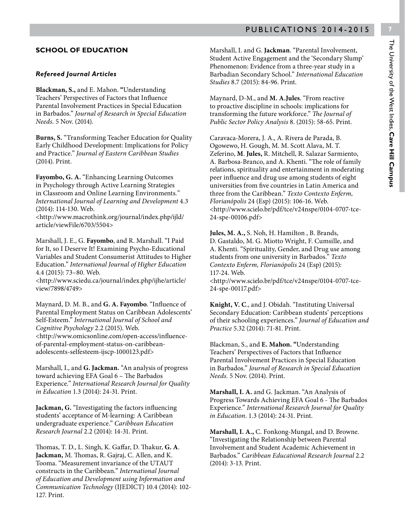#### **SCHOOL OF EDUCATION**

#### *Refereed Journal Articles*

**Blackman, S.,** and E. Mahon. **"**Understanding Teachers' Perspectives of Factors that Influence Parental Involvement Practices in Special Education in Barbados." *Journal of Research in Special Education Needs.* 5 Nov. (2014).

**Burns, S.** "Transforming Teacher Education for Quality Early Childhood Development: Implications for Policy and Practice." *Journal of Eastern Caribbean Studies* (2014). Print.

**Fayombo, G. A.** "Enhancing Learning Outcomes in Psychology through Active Learning Strategies in Classroom and Online Learning Environments*." International Journal of Learning and Development* 4.3 (2014): 114-130. Web.

<http://www.macrothink.org/journal/index.php/ijld/ article/viewFile/6703/5504>

Marshall, J. E., G. **Fayombo**, and R. Marshall. "I Paid for It, so I Deserve It! Examining Psycho-Educational Variables and Student Consumerist Attitudes to Higher Education." *International Journal of Higher Education* 4.4 (2015): 73–80. Web.

<http://www.sciedu.ca/journal/index.php/ijhe/article/ view/7898/4749>

Maynard, D. M. B., and **G. A. Fayombo**. "Influence of Parental Employment Status on Caribbean Adolescents' Self-Esteem." *International Journal of School and Cognitive Psychology* 2.2 (2015). Web. <http://www.omicsonline.com/open-access/influenceof-parental-employment-status-on-caribbeanadolescents-selfesteem-ijscp-1000123.pdf>

Marshall, I., and **G. Jackman.** "An analysis of progress toward achieving EFA Goal 6 – The Barbados Experience." *International Research Journal for Quality in Education* 1.3 (2014): 24-31. Print.

**Jackman, G.** "Investigating the factors influencing students' acceptance of M-learning: A Caribbean undergraduate experience." *Caribbean Education Research Journal* 2.2 (2014): 14-31. Print.

Thomas, T. D., L. Singh, K. Gaffar, D. Thakur, **G. A**. **Jackman,** M. Thomas, R. Gajraj, C. Allen, and K. Tooma. "Measurement invariance of the UTAUT constructs in the Caribbean." *International Journal of Education and Development using Information and Communication Technology* (IJEDICT) 10.4 (2014): 102- 127. Print.

Marshall, I. and G. **Jackman**. "Parental Involvement, Student Active Engagement and the 'Secondary Slump' Phenomenon: Evidence from a three-year study in a Barbadian Secondary School." *International Education Studies* 8.7 (2015): 84-96. Print.

Maynard, D-M., and **M. A.Jules**. "From reactive to proactive discipline in schools: implications for transforming the future workforce." *The Journal of Public Sector Policy Analysis* 8. (2015): 58-65. Print.

Caravaca-Morera, J. A., A. Rivera de Parada, B. Ogowewo, H. Gough, M. M. Scott Alava, M. T. Zeferino, **M**. **Jules,** R. Mitchell, R. Salazar Sarmiento, A. Barbosa-Branco, and A. Khenti. "The role of family relations, spirituality and entertainment in moderating peer influence and drug use among students of eight universities from five countries in Latin America and three from the Caribbean." *Texto Contexto Enferm, Florianópolis* 24 (Esp) (2015): 106-16. Web. <http://www.scielo.br/pdf/tce/v24nspe/0104-0707-tce-24-spe-00106.pdf>

**Jules, M. A.,** S. Noh, H. Hamilton , B. Brands, D. Gastaldo, M. G. Miotto Wright, F. Cumsille, and A. Khenti. "Spirituality, Gender, and Drug use among students from one university in Barbados." *Texto Contexto Enferm, Florianópolis* 24 (Esp) (2015): 117-24. Web.

<http://www.scielo.br/pdf/tce/v24nspe/0104-0707-tce-24-spe-00117.pdf>

**Knight, V. C**., and J. Obidah. "Instituting Universal Secondary Education: Caribbean students' perceptions of their schooling experiences." *Journal of Education and Practice* 5.32 (2014): 71-81. Print.

Blackman, S., and **E. Mahon. "**Understanding Teachers' Perspectives of Factors that Influence Parental Involvement Practices in Special Education in Barbados." *Journal of Research in Special Education Needs.* 5 Nov. (2014). Print.

**Marshall, I. A.** and G. Jackman. "An Analysis of Progress Towards Achieving EFA Goal 6 - The Barbados Experience." *International Research Journal for Quality in Education*. 1.3 (2014): 24-31. Print.

**Marshall, I. A.,** C. Fonkong-Mungal, and D. Browne. "Investigating the Relationship between Parental Involvement and Student Academic Achievement in Barbados." *Caribbean Educational Research Journal* 2.2 (2014): 3-13. Print.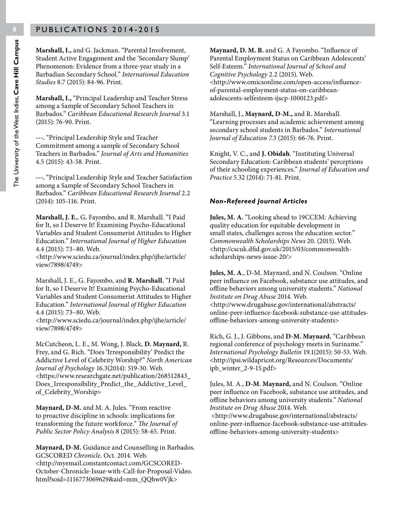**Marshall, I.,** and G. Jackman. "Parental Involvement, Student Active Engagement and the 'Secondary Slump' Phenomenon: Evidence from a three-year study in a Barbadian Secondary School." *International Education Studies* 8.7 (2015): 84-96. Print.

**Marshall, I.,** "Principal Leadership and Teacher Stress among a Sample of Secondary School Teachers in Barbados." *Caribbean Educational Research Journal* 3.1 (2015): 76-90. Print.

**---.** "Principal Leadership Style and Teacher Commitment among a sample of Secondary School Teachers in Barbados." *Journal of Arts and Humanities* 4.5 (2015): 43-58. Print.

**---.** "Principal Leadership Style and Teacher Satisfaction among a Sample of Secondary School Teachers in Barbados." *Caribbean Educational Research Journal* 2.2 (2014): 105-116. Print.

**Marshall, J. E.**, G**.** Fayombo, and R. Marshall. "I Paid for It, so I Deserve It! Examining Psycho-Educational Variables and Student Consumerist Attitudes to Higher Education." *International Journal of Higher Education* 4.4 (2015): 73–80. Web.

<http://www.sciedu.ca/journal/index.php/ijhe/article/ view/7898/4749>

Marshall, J. E., G. Fayombo, and **R. Marshall.** "I Paid for It, so I Deserve It! Examining Psycho-Educational Variables and Student Consumerist Attitudes to Higher Education." *International Journal of Higher Education* 4.4 (2015): 73–80. Web.

<http://www.sciedu.ca/journal/index.php/ijhe/article/ view/7898/4749>

McCutcheon, L. E., M. Wong, J. Black, **D. Maynard,** R. Frey, and G. Rich. "Does 'Irresponsibility' Predict the Addictive Level of Celebrity Worship?" *North American Journal of Psychology* 16.3(2014): 519-30. Web. <https://www.researchgate.net/publication/268512843\_ Does\_Irresponsibility\_Predict\_the\_Addictive\_Level\_ of\_Celebrity\_Worship>

**Maynard, D-M.** and M. A. Jules. "From reactive to proactive discipline in schools: implications for transforming the future workforce." *The Journal of Public Sector Policy Analysis* 8 (2015): 58-65. Print.

**Maynard, D-M.** Guidance and Counselling in Barbados. GCSCORED *Chronicle*. Oct. 2014. Web. <http://myemail.constantcontact.com/GCSCORED-October-Chronicle-Issue-with-Call-for-Proposal-Video. html?soid=1116773069629&aid=mm\_QQhw0Vjk>

**Maynard, D. M. B.** and G. A Fayombo. "Influence of Parental Employment Status on Caribbean Adolescents' Self-Esteem." *International Journal of School and Cognitive Psychology* 2.2 (2015). Web. <http://www.omicsonline.com/open-access/influenceof-parental-employment-status-on-caribbeanadolescents-selfesteem-ijscp-1000123.pdf>

Marshall, J., **Maynard, D-M.,** and R. Marshall. "Learning processes and academic achievement among secondary school students in Barbados." *International Journal of Education 7.*3 (2015): 66-76. Print.

Knight, V. C., and **J. Obidah**. "Instituting Universal Secondary Education: Caribbean students' perceptions of their schooling experiences." *Journal of Education and Practice* 5.32 (2014): 71-81. Print.

#### *Non-Refereed Journal Articles*

**Jules, M. A.** "Looking ahead to 19CCEM: Achieving quality education for equitable development in small states, challenges across the education sector." *Commonwealth Scholarships News* 20. (2015). Web. <http://cscuk.dfid.gov.uk/2015/03/commonwealthscholarships-news-issue-20/>

**Jules, M. A**., D-M. Maynard, and N. Coulson. "Online peer influence on Facebook, substance use attitudes, and offline behaviors among university students." *National Institute on Drug Abuse* 2014. Web. <http://www.drugabuse.gov/international/abstracts/ online-peer-influence-facebook-substance-use-attitudesoffline-behaviors-among-university-students>

Rich, G. J., J. Gibbons, and **D-M. Maynard.** "Caribbean regional conference of psychology meets in Suriname." *International Psychology Bulletin* 19.1(2015): 50-53. Web. <http://ipsi.wildapricot.org/Resources/Documents/ ipb\_winter\_2-9-15.pdf>

Jules, M. A., **D-M**. **Maynard,** and N. Coulson. "Online peer influence on Facebook, substance use attitudes, and offline behaviors among university students." *National Institute on Drug Abuse* 2014. Web. <http://www.drugabuse.gov/international/abstracts/ online-peer-influence-facebook-substance-use-attitudesoffline-behaviors-among-university-students>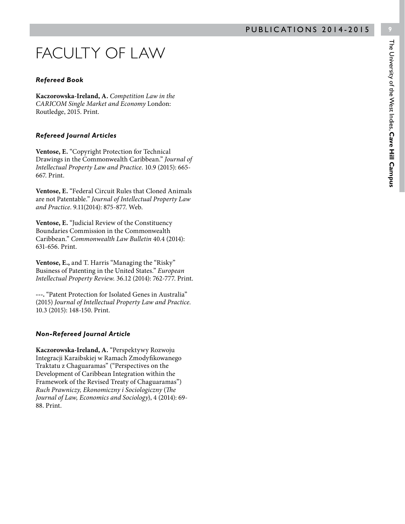## FACULTY OF LAW

#### *Refereed Book*

**Kaczorowska-Ireland, A.** *Competition Law in the CARICOM Single Market and Economy* London: Routledge, 2015. Print.

#### *Refereed Journal Articles*

**Ventose, E.** "Copyright Protection for Technical Drawings in the Commonwealth Caribbean." *Journal of Intellectual Property Law and Practice.* 10.9 (2015): 665- 667. Print.

**Ventose, E.** "Federal Circuit Rules that Cloned Animals are not Patentable." *Journal of Intellectual Property Law and Practice*. 9.11(2014): 875-877. Web.

**Ventose, E.** "Judicial Review of the Constituency Boundaries Commission in the Commonwealth Caribbean." *Commonwealth Law Bulletin* 40.4 (2014): 631-656. Print.

**Ventose, E.,** and T. Harris "Managing the "Risky" Business of Patenting in the United States." *European Intellectual Property Review.* 36.12 (2014): 762-777. Print.

**---.** "Patent Protection for Isolated Genes in Australia" (2015) *Journal of Intellectual Property Law and Practice.*  10.3 (2015): 148-150. Print.

#### *Non-Refereed Journal Article*

**Kaczorowska-Ireland, A.** "Perspektywy Rozwoju Integracji Karaibskiej w Ramach Zmodyfikowanego Traktatu z Chaguaramas" ("Perspectives on the Development of Caribbean Integration within the Framework of the Revised Treaty of Chaguaramas") *Ruch Prawniczy, Ekonomiczny i Sociologiczny* (*The Journal of Law, Economics and Sociology*), 4 (2014): 69- 88. Print.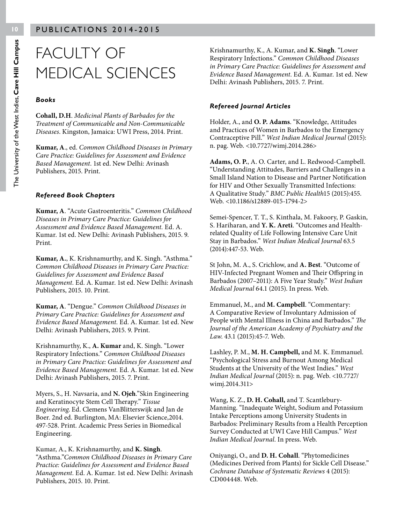## FACULTY OF MEDICAL SCIENCES

#### *Books*

**Cohall, D.H**. *Medicinal Plants of Barbados for the Treatment of Communicable and Non-Communicable Diseases*. Kingston, Jamaica: UWI Press, 2014. Print.

**Kumar, A**., ed. *Common Childhood Diseases in Primary Care Practice: Guidelines for Assessment and Evidence Based Management*. 1st ed. New Delhi: Avinash Publishers, 2015. Print.

#### *Refereed Book Chapters*

**Kumar, A**. "Acute Gastroenteritis." *Common Childhood Diseases in Primary Care Practice: Guidelines for Assessment and Evidence Based Management.* Ed. A. Kumar. 1st ed. New Delhi: Avinash Publishers, 2015. 9. Print.

**Kumar, A.**, K. Krishnamurthy, and K. Singh. "Asthma." *Common Childhood Diseases in Primary Care Practice: Guidelines for Assessment and Evidence Based Management.* Ed. A. Kumar. 1st ed. New Delhi: Avinash Publishers, 2015. 10. Print.

**Kumar, A**. "Dengue." *Common Childhood Diseases in Primary Care Practice: Guidelines for Assessment and Evidence Based Management.* Ed. A. Kumar. 1st ed. New Delhi: Avinash Publishers, 2015. 9. Print.

Krishnamurthy, K., **A. Kumar** and, K. Singh. "Lower Respiratory Infections." *Common Childhood Diseases in Primary Care Practice: Guidelines for Assessment and Evidence Based Management.* Ed. A. Kumar. 1st ed. New Delhi: Avinash Publishers, 2015. 7. Print.

Myers, S., H. Navsaria, and **N. Ojeh**."Skin Engineering and Keratinocyte Stem Cell Therapy." *Tissue Engineering*. Ed. Clemens VanBlitterswijk and Jan de Boer. 2nd ed. Burlington, MA: Elsevier Science,2014. 497-528. Print. Academic Press Series in Biomedical Engineering.

Kumar, A., K. Krishnamurthy, and **K. Singh**. "Asthma."*Common Childhood Diseases in Primary Care Practice: Guidelines for Assessment and Evidence Based Management.* Ed. A. Kumar. 1st ed. New Delhi: Avinash Publishers, 2015. 10. Print.

Krishnamurthy, K., A. Kumar, and **K. Singh**. "Lower Respiratory Infections." *Common Childhood Diseases in Primary Care Practice: Guidelines for Assessment and Evidence Based Management.* Ed. A. Kumar. 1st ed. New Delhi: Avinash Publishers, 2015. 7. Print.

#### *Refereed Journal Articles*

Holder, A., and **O. P. Adams**. "Knowledge, Attitudes and Practices of Women in Barbados to the Emergency Contraceptive Pill." *West Indian Medical Journal* (2015): n. pag. Web. <10.7727/wimj.2014.286>

**Adams, O. P.**, A. O. Carter, and L. Redwood-Campbell. "Understanding Attitudes, Barriers and Challenges in a Small Island Nation to Disease and Partner Notification for HIV and Other Sexually Transmitted Infections: A Qualitative Study." *BMC Public Health*15 (2015):455. Web. <10.1186/s12889-015-1794-2>

Semei-Spencer, T. T., S. Kinthala, M. Fakoory, P. Gaskin, S. Hariharan, and **Y. K. Areti**. "Outcomes and Healthrelated Quality of Life Following Intensive Care Unit Stay in Barbados." *West Indian Medical Journal* 63.5 (2014):447-53. Web.

St John, M. A., S. Crichlow, and **A. Best**. "Outcome of HIV-Infected Pregnant Women and Their Offspring in Barbados (2007–2011): A Five Year Study." *West Indian Medical Journal* 64.1 (2015). In press. Web.

Emmanuel, M., and **M. Campbell**. "Commentary: A Comparative Review of Involuntary Admission of People with Mental Illness in China and Barbados." *The Journal of the American Academy of Psychiatry and the Law*. 43.1 (2015):45-7. Web.

Lashley, P. M., **M. H. Campbell,** and M. K. Emmanuel. "Psychological Stress and Burnout Among Medical Students at the University of the West Indies." *West Indian Medical Journal* (2015): n. pag. Web. <10.7727/ wimj.2014.311>

Wang, K. Z., **D. H. Cohall,** and T. Scantlebury-Manning. "Inadequate Weight, Sodium and Potassium Intake Perceptions among University Students in Barbados: Preliminary Results from a Health Perception Survey Conducted at UWI Cave Hill Campus." *West Indian Medical Journal*. In press. Web.

Oniyangi, O., and **D. H. Cohall**. "Phytomedicines (Medicines Derived from Plants) for Sickle Cell Disease." *Cochrane Database of Systematic Reviews* 4 (2015): CD004448. Web.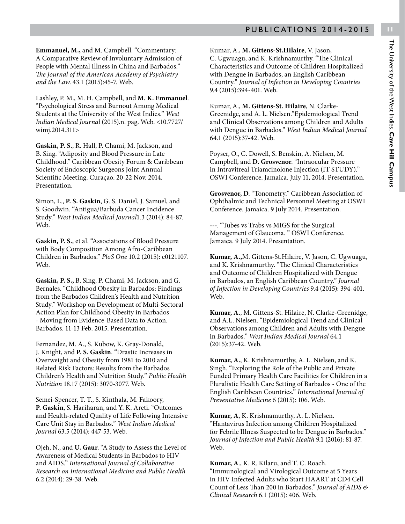**Emmanuel, M.,** and M. Campbell. "Commentary: A Comparative Review of Involuntary Admission of People with Mental Illness in China and Barbados." *The Journal of the American Academy of Psychiatry and the Law*. 43.1 (2015):45-7. Web.

Lashley, P. M., M. H. Campbell, and **M. K. Emmanuel**. "Psychological Stress and Burnout Among Medical Students at the University of the West Indies." *West Indian Medical Journal* (2015).n. pag. Web. <10.7727/ wimj.2014.311>

**Gaskin, P. S.**, R. Hall, P. Chami, M. Jackson, and B. Sing. "Adiposity and Blood Pressure in Late Childhood." Caribbean Obesity Forum & Caribbean Society of Endoscopic Surgeons Joint Annual Scientific Meeting. Curaçao. 20-22 Nov. 2014. Presentation.

Simon, L., **P. S. Gaskin**, G. S. Daniel, J. Samuel, and S. Goodwin. "Antigua/Barbuda Cancer Incidence Study." *West Indian Medical Journal*1.3 (2014): 84-87. Web.

**Gaskin, P. S.**, et al. "Associations of Blood Pressure with Body Composition Among Afro-Caribbean Children in Barbados." *PloS One* 10.2 (2015): e0121107. Web.

**Gaskin, P. S.,** B. Sing, P. Chami, M. Jackson, and G. Bernales. "Childhood Obesity in Barbados: Findings from the Barbados Children's Health and Nutrition Study." Workshop on Development of Multi-Sectoral Action Plan for Childhood Obesity in Barbados - Moving from Evidence-Based Data to Action. Barbados. 11-13 Feb. 2015. Presentation.

Fernandez, M. A., S. Kubow, K. Gray-Donald, J. Knight, and **P. S. Gaskin**. "Drastic Increases in Overweight and Obesity from 1981 to 2010 and Related Risk Factors: Results from the Barbados Children's Health and Nutrition Study." *Public Health Nutrition* 18.17 (2015): 3070-3077. Web.

Semei-Spencer, T. T., S. Kinthala, M. Fakoory, **P. Gaskin**, S. Hariharan, and Y. K. Areti. "Outcomes and Health-related Quality of Life Following Intensive Care Unit Stay in Barbados." *West Indian Medical Journal* 63.5 (2014): 447-53. Web.

Ojeh, N., and **U. Gaur**. "A Study to Assess the Level of Awareness of Medical Students in Barbados to HIV and AIDS." *International Journal of Collaborative Research on International Medicine and Public Health* 6.2 (2014): 29-38. Web.

Kumar, A., **M. Gittens-St.Hilaire**, V. Jason, C. Ugwuagu, and K. Krishnamurthy. "The Clinical Characteristics and Outcome of Children Hospitalized with Dengue in Barbados, an English Caribbean Country." *Journal of Infection in Developing Countries*  9.4 (2015):394-401. Web.

Kumar, A., **M. Gittens-St. Hilaire**, N. Clarke-Greenidge, and A. L. Nielsen."Epidemiological Trend and Clinical Observations among Children and Adults with Dengue in Barbados." *West Indian Medical Journal* 64.1 (2015):37-42. Web.

Poyser, O., C. Dowell, S. Benskin, A. Nielsen, M. Campbell, and **D. Grosvenor**. "Intraocular Pressure in Intravitreal Triamcinolone Injection (IT STUDY)." OSWI Conference. Jamaica. July 11, 2014. Presentation.

**Grosvenor, D**. "Tonometry." Caribbean Association of Ophthalmic and Technical Personnel Meeting at OSWI Conference. Jamaica. 9 July 2014. Presentation.

**---**. "Tubes vs Trabs vs MIGS for the Surgical Management of Glaucoma. " OSWI Conference. Jamaica. 9 July 2014. Presentation.

**Kumar, A.,**M. Gittens-St.Hilaire, V. Jason, C. Ugwuagu, and K. Krishnamurthy. "The Clinical Characteristics and Outcome of Children Hospitalized with Dengue in Barbados, an English Caribbean Country." *Journal of Infection in Developing Countries* 9.4 (2015): 394-401. Web.

**Kumar, A.**, M. Gittens-St. Hilaire, N. Clarke-Greenidge, and A.L. Nielsen. "Epidemiological Trend and Clinical Observations among Children and Adults with Dengue in Barbados." *West Indian Medical Journal* 64.1 (2015):37-42. Web.

**Kumar, A.**, K. Krishnamurthy, A. L. Nielsen, and K. Singh. "Exploring the Role of the Public and Private Funded Primary Health Care Facilities for Children in a Pluralistic Health Care Setting of Barbados - One of the English Caribbean Countries." *International Journal of Preventative Medicine* 6 (2015): 106. Web.

**Kumar, A**, K. Krishnamurthy, A. L. Nielsen. "Hantavirus Infection among Children Hospitalized for Febrile Illness Suspected to be Dengue in Barbados." *Journal of Infection and Public Health* 9.1 (2016): 81-87. Web.

**Kumar, A**., K. R. Kilaru, and T. C. Roach. "Immunological and Virological Outcome at 5 Years in HIV Infected Adults who Start HAART at CD4 Cell Count of Less Than 200 in Barbados." *Journal of AIDS & Clinical Research* 6.1 (2015): 406. Web.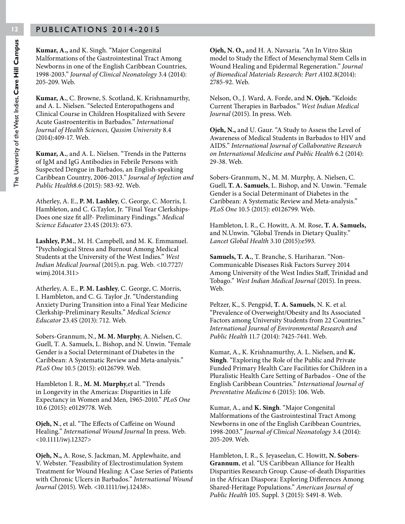**Kumar, A.,** and K. Singh. "Major Congenital Malformations of the Gastrointestinal Tract Among Newborns in one of the English Caribbean Countries, 1998-2003." *Journal of Clinical Neonatology* 3.4 (2014): 205-209. Web.

**Kumar, A.**, C. Browne, S. Scotland, K. Krishnamurthy, and A. L. Nielsen. "Selected Enteropathogens and Clinical Course in Children Hospitalized with Severe Acute Gastroenteritis in Barbados." *International Journal of Health Sciences, Qassim University* 8.4 (2014):409-17. Web.

**Kumar, A.**, and A. L. Nielsen. "Trends in the Patterns of IgM and IgG Antibodies in Febrile Persons with Suspected Dengue in Barbados, an English-speaking Caribbean Country, 2006-2013." *Journal of Infection and Public Health*8.6 (2015): 583-92. Web.

Atherley, A. E., **P. M. Lashley**, C. George, C. Morris, I. Hambleton, and C. G.Taylor, Jr. "Final Year Clerkships-Does one size fit all?- Preliminary Findings." *Medical Science Educator* 23.4S (2013): 673.

**Lashley, P.M.**, M. H. Campbell, and M. K. Emmanuel. "Psychological Stress and Burnout Among Medical Students at the University of the West Indies." *West Indian Medical Journal* (2015).n. pag. Web. <10.7727/ wimj.2014.311>

Atherley, A. E., **P. M. Lashley**, C. George, C. Morris, I. Hambleton, and C. G. Taylor ,Jr. "Understanding Anxiety During Transition into a Final Year Medicine Clerkship-Preliminary Results." *Medical Science Educator* 23.4S (2013): 712. Web.

Sobers-Grannum, N., **M. M. Murphy**, A. Nielsen, C. Guell, T. A. Samuels, L. Bishop, and N. Unwin. "Female Gender is a Social Determinant of Diabetes in the Caribbean: A Systematic Review and Meta-analysis." *PLoS One* 10.5 (2015): e0126799. Web.

Hambleton I. R., **M. M. Murphy**,et al. "Trends in Longevity in the Americas: Disparities in Life Expectancy in Women and Men, 1965-2010." *PLoS One*  10.6 (2015): e0129778. Web.

**Ojeh, N**., et al. "The Effects of Caffeine on Wound Healing." *International Wound Journal* In press. Web. <10.1111/iwj.12327>

**Ojeh, N.,** A. Rose, S. Jackman, M. Applewhaite, and V. Webster. "Feasibility of Electrostimulation System Treatment for Wound Healing: A Case Series of Patients with Chronic Ulcers in Barbados." *International Wound Journal* (2015). Web. <10.1111/iwj.12438>.

**Ojeh, N. O.,** and H. A. Navsaria. "An In Vitro Skin model to Study the Effect of Mesenchymal Stem Cells in Wound Healing and Epidermal Regeneration." *Journal of Biomedical Materials Research: Part A*102.8(2014): 2785-92. Web.

Nelson, O., J. Ward, A. Forde, and **N. Ojeh.** "Keloids: Current Therapies in Barbados." *West Indian Medical Journal* (2015). In press. Web.

**Ojeh, N.,** and U. Gaur. "A Study to Assess the Level of Awareness of Medical Students in Barbados to HIV and AIDS." *International Journal of Collaborative Research on International Medicine and Public Health* 6.2 (2014): 29-38. Web.

Sobers-Grannum, N., M. M. Murphy, A. Nielsen, C. Guell, **T. A. Samuels**, L. Bishop, and N. Unwin. "Female Gender is a Social Determinant of Diabetes in the Caribbean: A Systematic Review and Meta-analysis." *PLoS One* 10.5 (2015): e0126799. Web.

Hambleton, I. R., C. Howitt, A. M. Rose, **T. A. Samuels,**  and N.Unwin. "Global Trends in Dietary Quality." *Lancet Global Health* 3.10 (2015):e593.

**Samuels, T. A.**, T. Branche, S. Hariharan. "Non-Communicable Diseases Risk Factors Survey 2014 Among University of the West Indies Staff, Trinidad and Tobago." *West Indian Medical Journal* (2015). In press. Web.

Peltzer, K., S. Pengpid, **T. A. Samuels**, N. K. et al. "Prevalence of Overweight/Obesity and Its Associated Factors among University Students from 22 Countries." *International Journal of Environmental Research and Public Health* 11.7 (2014): 7425-7441. Web.

Kumar, A., K. Krishnamurthy, A. L. Nielsen, and **K. Singh**. "Exploring the Role of the Public and Private Funded Primary Health Care Facilities for Children in a Pluralistic Health Care Setting of Barbados - One of the English Caribbean Countries." *International Journal of Preventative Medicine* 6 (2015): 106. Web.

Kumar, A., and **K. Singh**. "Major Congenital Malformations of the Gastrointestinal Tract Among Newborns in one of the English Caribbean Countries, 1998-2003." *Journal of Clinical Neonatology* 3.4 (2014): 205-209. Web.

Hambleton, I. R., S. Jeyaseelan, C. Howitt, **N. Sobers-Grannum**, et al. "US Caribbean Alliance for Health Disparities Research Group. Cause-of-death Disparities in the African Diaspora: Exploring Differences Among Shared-Heritage Populations." *American Journal of Public Health* 105. Suppl. 3 (2015): S491-8. Web.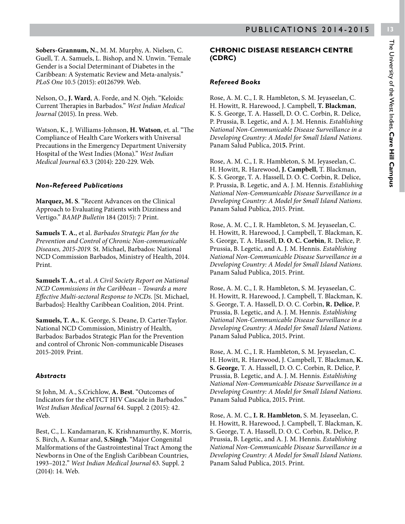**CHRONIC DISEASE RESEARCH CENTRE**  Rose, A. M. C., I. R. Hambleton, S. M. Jeyaseelan, C.

H. Howitt, R. Harewood, J. Campbell, **T. Blackman**, K. S. George, T. A. Hassell, D. O. C. Corbin, R. Delice, P. Prussia, B. Legetic, and A. J. M. Hennis. *Establishing National Non-Communicable Disease Surveillance in a Developing Country: A Model for Small Island Nations*. Panam Salud Publica, 201**5.** Print.

**(CDRC)**

*Refereed Books*

Rose, A. M. C., I. R. Hambleton, S. M. Jeyaseelan, C. H. Howitt, R. Harewood, **J. Campbell**, T. Blackman, K. S. George, T. A. Hassell, D. O. C. Corbin, R. Delice, P. Prussia, B. Legetic, and A. J. M. Hennis. *Establishing National Non-Communicable Disease Surveillance in a Developing Country: A Model for Small Island Nations*. Panam Salud Publica, 2015. Print.

Rose, A. M. C., I. R. Hambleton, S. M. Jeyaseelan, C. H. Howitt, R. Harewood, J. Campbell, T. Blackman, K. S. George, T. A. Hassell, **D. O. C. Corbin**, R. Delice, P. Prussia, B. Legetic, and A. J. M. Hennis. *Establishing National Non-Communicable Disease Surveillance in a Developing Country: A Model for Small Island Nations*. Panam Salud Publica, 2015. Print.

Rose, A. M. C., I. R. Hambleton, S. M. Jeyaseelan, C. H. Howitt, R. Harewood, J. Campbell, T. Blackman, K. S. George, T. A. Hassell, D. O. C. Corbin, **R. Delice**, P. Prussia, B. Legetic, and A. J. M. Hennis. *Establishing National Non-Communicable Disease Surveillance in a Developing Country: A Model for Small Island Nations*. Panam Salud Publica, 2015**.** Print.

Rose, A. M. C., I. R. Hambleton, S. M. Jeyaseelan, C. H. Howitt, R. Harewood, J. Campbell, T. Blackman, **K. S. George**, T. A. Hassell, D. O. C. Corbin, R. Delice, P. Prussia, B. Legetic, and A. J. M. Hennis. *Establishing National Non-Communicable Disease Surveillance in a Developing Country: A Model for Small Island Nations*. Panam Salud Publica, 2015**.** Print.

Rose, A. M. C., **I. R. Hambleton**, S. M. Jeyaseelan, C. H. Howitt, R. Harewood, J. Campbell, T. Blackman, K. S. George, T. A. Hassell, D. O. C. Corbin, R. Delice, P. Prussia, B. Legetic, and A. J. M. Hennis. *Establishing National Non-Communicable Disease Surveillance in a Developing Country: A Model for Small Island Nations*. Panam Salud Publica, 2015. Print.

**Sobers-Grannum, N.**, M. M. Murphy, A. Nielsen, C. Guell, T. A. Samuels, L. Bishop, and N. Unwin. "Female Gender is a Social Determinant of Diabetes in the Caribbean: A Systematic Review and Meta-analysis." *PLoS One* 10.5 (2015): e0126799. Web.

Nelson, O., **J. Ward**, A. Forde, and N. Ojeh. "Keloids: Current Therapies in Barbados." *West Indian Medical Journal* (2015). In press. Web.

Watson, K., J. Williams-Johnson, **H. Watson**, et. al. "The Compliance of Health Care Workers with Universal Precautions in the Emergency Department University Hospital of the West Indies (Mona)." *West Indian Medical Journal* 63.3 (2014): 220-229. Web.

#### *Non-Refereed Publications*

**Marquez, M. S**. "Recent Advances on the Clinical Approach to Evaluating Patients with Dizziness and Vertigo." *BAMP Bulletin* 184 (2015): 7 Print.

**Samuels T. A.**, et al. *Barbados Strategic Plan for the Prevention and Control of Chronic Non-communicable Diseases, 2015-2019.* St. Michael, Barbados: National NCD Commission Barbados, Ministry of Health, 2014. Print.

**Samuels T. A.**, et al. *A Civil Society Report on National NCD Commissions in the Caribbean – Towards a more Effective Multi-sectoral Response to NCDs*. [St. Michael, Barbados]: Healthy Caribbean Coalition, 2014. Print.

**Samuels, T. A.**, K. George, S. Deane, D. Carter-Taylor. National NCD Commission, Ministry of Health, Barbados: Barbados Strategic Plan for the Prevention and control of Chronic Non-communicable Diseases 2015-2019. Print.

#### *Abstracts*

St John, M. A., S.Crichlow, **A. Best**. "Outcomes of Indicators for the eMTCT HIV Cascade in Barbados." *West Indian Medical Journal* 64. Suppl. 2 (2015): 42. Web.

Best, C., L. Kandamaran, K. Krishnamurthy, K. Morris, S. Birch, A. Kumar and, **S.Singh**. "Major Congenital Malformations of the Gastrointestinal Tract Among the Newborns in One of the English Caribbean Countries, 1993–2012." *West Indian Medical Journal* 63. Suppl. 2 (2014): 14. Web.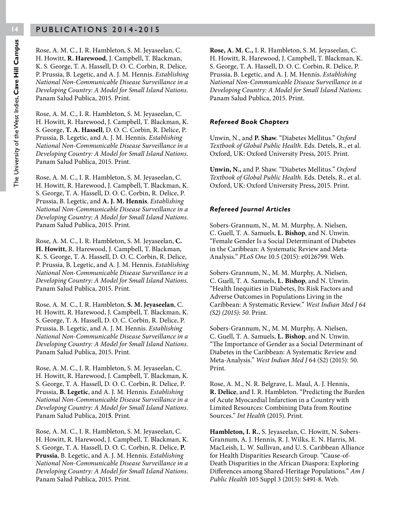Rose, A. M. C., I. R. Hambleton, S. M. Jeyaseelan, C. H. Howitt, **R. Harewood**, J. Campbell, T. Blackman, K. S. George, T. A. Hassell, D. O. C. Corbin, R. Delice, P. Prussia, B. Legetic, and A. J. M. Hennis. *Establishing National Non-Communicable Disease Surveillance in a Developing Country: A Model for Small Island Nations*. Panam Salud Publica, 2015. Print.

Rose, A. M. C., I. R. Hambleton, S. M. Jeyaseelan, C. H. Howitt, R. Harewood, J. Campbell, T. Blackman, K. S. George, **T. A. Hassell**, D. O. C. Corbin, R. Delice, P. Prussia, B. Legetic, and A. J. M. Hennis. *Establishing National Non-Communicable Disease Surveillance in a Developing Country: A Model for Small Island Nations*. Panam Salud Publica, 2015. Print.

Rose, A. M. C., I. R. Hambleton, S. M. Jeyaseelan, C. H. Howitt, R. Harewood, J. Campbell, T. Blackman, K. S. George, T. A. Hassell, D. O. C. Corbin, R. Delice, P. Prussia, B. Legetic, and **A. J. M. Hennis**. *Establishing National Non-Communicable Disease Surveillance in a Developing Country: A Model for Small Island Nations*. Panam Salud Publica, 2015. Print.

Rose, A. M. C., I. R. Hambleton, S. M. Jeyaseelan, **C. H. Howitt**, R. Harewood, J. Campbell, T. Blackman, K. S. George, T. A. Hassell, D. O. C. Corbin, R. Delice, P. Prussia, B. Legetic, and A. J. M. Hennis. *Establishing National Non-Communicable Disease Surveillance in a Developing Country: A Model for Small Island Nations*. Panam Salud Publica, 2015. Print.

Rose, A. M. C., I. R. Hambleton, **S. M. Jeyaseelan**, C. H. Howitt, R. Harewood, J. Campbell, T. Blackman, K. S. George, T. A. Hassell, D. O. C. Corbin, R. Delice, P. Prussia, B. Legetic, and A. J. M. Hennis. *Establishing National Non-Communicable Disease Surveillance in a Developing Country: A Model for Small Island Nations*. Panam Salud Publica, 2015. Print.

Rose, A. M. C., I. R. Hambleton, S. M. Jeyaseelan, C. H. Howitt, R. Harewood, J. Campbell, T. Blackman, K. S. George, T. A. Hassell, D. O. C. Corbin, R. Delice, P. Prussia, **B. Legetic**, and A. J. M. Hennis. *Establishing National Non-Communicable Disease Surveillance in a Developing Country: A Model for Small Island Nations*. Panam Salud Publica, 201**5**. Print.

Rose, A. M. C., I. R. Hambleton, S. M. Jeyaseelan, C. H. Howitt, R. Harewood, J. Campbell, T. Blackman, K. S. George, T. A. Hassell, D. O. C. Corbin, R. Delice, **P. Prussia**, B. Legetic, and A. J. M. Hennis. *Establishing National Non-Communicable Disease Surveillance in a Developing Country: A Model for Small Island Nations*. Panam Salud Publica, 2015. Print.

**Rose, A. M. C.,** I. R. Hambleton, S. M. Jeyaseelan, C. H. Howitt, R. Harewood, J. Campbell, T. Blackman, K. S. George, T. A. Hassell, D. O. C. Corbin, R. Delice, P. Prussia, B. Legetic, and A. J. M. Hennis. *Establishing National Non-Communicable Disease Surveillance in a Developing Country: A Model for Small Island Nations*. Panam Salud Publica, 2015. Print.

#### *Refereed Book Chapters*

Unwin, N., and **P. Shaw**. "Diabetes Mellitus." *Oxford Textbook of Global Public Health*. Eds. Detels, R., et al. Oxford, UK: Oxford University Press, 2015. Print.

**Unwin, N.,** and P. Shaw. "Diabetes Mellitus." *Oxford Textbook of Global Public Health*. Eds. Detels, R., et al. Oxford, UK: Oxford University Press**,** 2015. Print.

#### *Refereed Journal Articles*

Sobers-Grannum, N., M. M. Murphy, A. Nielsen, C. Guell, T. A. Samuels, **L. Bishop**, and N. Unwin. "Female Gender Is a Social Determinant of Diabetes in the Caribbean: A Systematic Review and Meta-Analysis." *PLoS One* 10.5 (2015): e0126799. Web.

Sobers-Grannum, N., M. M. Murphy, A. Nielsen, C. Guell, T. A. Samuels, **L. Bishop**, and N. Unwin. "Health Inequities in Diabetes, Its Risk Factors and Adverse Outcomes in Populations Living in the Caribbean: A Systematic Review." *West Indian Med J 64 (S2) (2015): 50*. Print.

Sobers-Grannum, N., M. M. Murphy, A. Nielsen, C. Guell, T. A. Samuels, **L. Bishop**, and N. Unwin. "The Importance of Gender as a Social Determinant of Diabetes in the Caribbean: A Systematic Review and Meta-Analysis." *West Indian Med J* 64 (S2) (2015): 50. Print.

Rose, A. M., N. R. Belgrave, L. Maul, A. J. Hennis, **R. Delice**, and I. R. Hambleton. "Predicting the Burden of Acute Myocardial Infarction in a Country with Limited Resources: Combining Data from Routine Sources." *Int Health* (2015). Print.

**Hambleton, I. R.**, S. Jeyaseelan, C. Howitt, N. Sobers-Grannum, A. J. Hennis, R. J. Wilks, E. N. Harris, M. MacLeish, L. W. Sullivan, and U. S. Caribbean Alliance for Health Disparities Research Group. "Cause-of-Death Disparities in the African Diaspora: Exploring Differences among Shared-Heritage Populations." *Am J Public Health* 105 Suppl 3 (2015): S491-8. Web.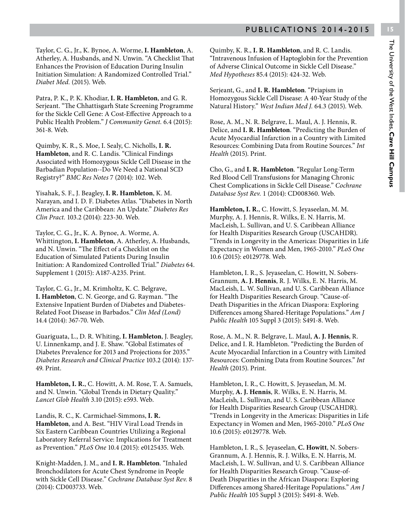Taylor, C. G., Jr., K. Bynoe, A. Worme, **I. Hambleton**, A. Atherley, A. Husbands, and N. Unwin. "A Checklist That Enhances the Provision of Education During Insulin Initiation Simulation: A Randomized Controlled Trial." *Diabet Med.* (2015). Web.

Patra, P. K., P. K. Khodiar, **I. R. Hambleton**, and G. R. Serjeant. "The Chhattisgarh State Screening Programme for the Sickle Cell Gene: A Cost-Effective Approach to a Public Health Problem." *J Community Genet.* 6.4 (2015): 361-8. Web.

Quimby, K. R., S. Moe, I. Sealy, C. Nicholls, **I. R. Hambleton**, and R. C. Landis. "Clinical Findings Associated with Homozygous Sickle Cell Disease in the Barbadian Population--Do We Need a National SCD Registry?" *BMC Res Notes* 7 (2014): 102. Web.

Yisahak, S. F., J. Beagley, **I. R. Hambleton**, K. M. Narayan, and I. D. F. Diabetes Atlas. "Diabetes in North America and the Caribbean: An Update." *Diabetes Res Clin Pract.* 103.2 (2014): 223-30. Web.

Taylor, C. G., Jr., K. A. Bynoe, A. Worme, A. Whittington, **I. Hambleton**, A. Atherley, A. Husbands, and N. Unwin. "The Effect of a Checklist on the Education of Simulated Patients During Insulin Initiation: A Randomized Controlled Trial." *Diabetes* 64. Supplement 1 (2015): A187-A235. Print.

Taylor, C. G., Jr., M. Krimholtz, K. C. Belgrave, **I. Hambleton**, C. N. George, and G. Rayman. "The Extensive Inpatient Burden of Diabetes and Diabetes-Related Foot Disease in Barbados." *Clin Med (Lond)* 14.4 (2014): 367-70. Web.

Guariguata, L., D. R. Whiting, **I. Hambleton**, J. Beagley, U. Linnenkamp, and J. E. Shaw. "Global Estimates of Diabetes Prevalence for 2013 and Projections for 2035." *Diabetes Research and Clinical Practice* 103.2 (2014): 137- 49. Print.

**Hambleton, I. R.**, C. Howitt, A. M. Rose, T. A. Samuels, and N. Unwin. "Global Trends in Dietary Quality." *Lancet Glob Health* 3.10 (2015): e593. Web.

Landis, R. C., K. Carmichael-Simmons, **I. R. Hambleton**, and A. Best. "HIV Viral Load Trends in Six Eastern Caribbean Countries Utilizing a Regional Laboratory Referral Service: Implications for Treatment as Prevention." *PLoS One* 10.4 (2015): e0125435. Web.

Knight-Madden, J. M., and **I. R. Hambleton**. "Inhaled Bronchodilators for Acute Chest Syndrome in People with Sickle Cell Disease." *Cochrane Database Syst Rev.* 8 (2014): CD003733. Web.

Quimby, K. R., **I. R. Hambleton**, and R. C. Landis. "Intravenous Infusion of Haptoglobin for the Prevention of Adverse Clinical Outcome in Sickle Cell Disease." *Med Hypotheses* 85.4 (2015): 424-32. Web.

Serjeant, G., and **I. R. Hambleton**. "Priapism in Homozygous Sickle Cell Disease: A 40-Year Study of the Natural History." *West Indian Med J.* 64.3 (2015). Web.

Rose, A. M., N. R. Belgrave, L. Maul, A. J. Hennis, R. Delice, and **I. R. Hambleton**. "Predicting the Burden of Acute Myocardial Infarction in a Country with Limited Resources: Combining Data from Routine Sources." *Int Health* (2015). Print.

Cho, G., and **I. R. Hambleton**. "Regular Long-Term Red Blood Cell Transfusions for Managing Chronic Chest Complications in Sickle Cell Disease." *Cochrane Database Syst Rev.* 1 (2014): CD008360. Web.

**Hambleton, I. R.**, C. Howitt, S. Jeyaseelan, M. M. Murphy, A. J. Hennis, R. Wilks, E. N. Harris, M. MacLeish, L. Sullivan, and U. S. Caribbean Alliance for Health Disparities Research Group (USCAHDR). "Trends in Longevity in the Americas: Disparities in Life Expectancy in Women and Men, 1965-2010." *PLoS One* 10.6 (2015): e0129778. Web.

Hambleton, I. R., S. Jeyaseelan, C. Howitt, N. Sobers-Grannum, **A. J. Hennis**, R. J. Wilks, E. N. Harris, M. MacLeish, L. W. Sullivan, and U. S. Caribbean Alliance for Health Disparities Research Group. "Cause-of-Death Disparities in the African Diaspora: Exploring Differences among Shared-Heritage Populations." *Am J Public Health* 105 Suppl 3 (2015): S491-8. Web.

Rose, A. M., N. R. Belgrave, L. Maul, **A. J. Hennis**, R. Delice, and I. R. Hambleton. "Predicting the Burden of Acute Myocardial Infarction in a Country with Limited Resources: Combining Data from Routine Sources." *Int Health* (2015). Print.

Hambleton, I. R., C. Howitt, S. Jeyaseelan, M. M. Murphy, **A. J. Hennis**, R. Wilks, E. N. Harris, M. MacLeish, L. Sullivan, and U. S. Caribbean Alliance for Health Disparities Research Group (USCAHDR). "Trends in Longevity in the Americas: Disparities in Life Expectancy in Women and Men, 1965-2010." *PLoS One* 10.6 (2015): e0129778. Web.

Hambleton, I. R., S. Jeyaseelan, **C. Howitt**, N. Sobers-Grannum, A. J. Hennis, R. J. Wilks, E. N. Harris, M. MacLeish, L. W. Sullivan, and U. S. Caribbean Alliance for Health Disparities Research Group. "Cause-of-Death Disparities in the African Diaspora: Exploring Differences among Shared-Heritage Populations." *Am J Public Health* 105 Suppl 3 (2015): S491-8. Web.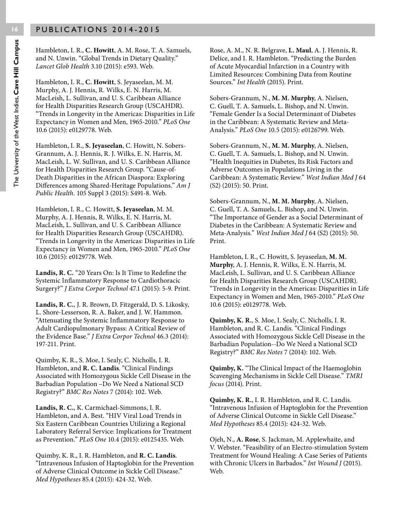Hambleton, I. R., **C. Howitt**, A. M. Rose, T. A. Samuels, and N. Unwin. "Global Trends in Dietary Quality." *Lancet Glob Health* 3.10 (2015): e593. Web.

Hambleton, I. R., **C. Howitt**, S. Jeyaseelan, M. M. Murphy, A. J. Hennis, R. Wilks, E. N. Harris, M. MacLeish, L. Sullivan, and U. S. Caribbean Alliance for Health Disparities Research Group (USCAHDR). "Trends in Longevity in the Americas: Disparities in Life Expectancy in Women and Men, 1965-2010." *PLoS One* 10.6 (2015): e0129778. Web.

Hambleton, I. R., **S. Jeyaseelan**, C. Howitt, N. Sobers-Grannum, A. J. Hennis, R. J. Wilks, E. N. Harris, M. MacLeish, L. W. Sullivan, and U. S. Caribbean Alliance for Health Disparities Research Group. "Cause-of-Death Disparities in the African Diaspora: Exploring Differences among Shared-Heritage Populations." *Am J Public Health.* 105 Suppl 3 (2015): S491-8. Web.

Hambleton, I. R., C. Howitt, **S. Jeyaseelan**, M. M. Murphy, A. J. Hennis, R. Wilks, E. N. Harris, M. MacLeish, L. Sullivan, and U. S. Caribbean Alliance for Health Disparities Research Group (USCAHDR). "Trends in Longevity in the Americas: Disparities in Life Expectancy in Women and Men, 1965-2010." *PLoS One* 10.6 (2015): e0129778. Web.

**Landis, R. C.** "20 Years On: Is It Time to Redefine the Systemic Inflammatory Response to Cardiothoracic Surgery?" *J Extra Corpor Technol* 47.1 (2015): 5-9. Print.

**Landis, R. C.**, J. R. Brown, D. Fitzgerald, D. S. Likosky, L. Shore-Lesserson, R. A. Baker, and J. W. Hammon. "Attenuating the Systemic Inflammatory Response to Adult Cardiopulmonary Bypass: A Critical Review of the Evidence Base." *J Extra Corpor Technol* 46.3 (2014): 197-211. Print.

Quimby, K. R., S. Moe, I. Sealy, C. Nicholls, I. R. Hambleton, and **R. C. Landis**. "Clinical Findings Associated with Homozygous Sickle Cell Disease in the Barbadian Population –Do We Need a National SCD Registry?" *BMC Res Notes* 7 (2014): 102. Web.

**Landis, R. C.**, K. Carmichael-Simmons, I. R. Hambleton, and A. Best. "HIV Viral Load Trends in Six Eastern Caribbean Countries Utilizing a Regional Laboratory Referral Service: Implications for Treatment as Prevention." *PLoS One* 10.4 (2015): e0125435. Web.

Quimby, K. R., I. R. Hambleton, and **R. C. Landis**. "Intravenous Infusion of Haptoglobin for the Prevention of Adverse Clinical Outcome in Sickle Cell Disease." *Med Hypotheses* 85.4 (2015): 424-32. Web.

Rose, A. M., N. R. Belgrave, **L. Maul**, A. J. Hennis, R. Delice, and I. R. Hambleton. "Predicting the Burden of Acute Myocardial Infarction in a Country with Limited Resources: Combining Data from Routine Sources." *Int Health* (2015). Print.

Sobers-Grannum, N., **M. M. Murphy**, A. Nielsen, C. Guell, T. A. Samuels, L. Bishop, and N. Unwin. "Female Gender Is a Social Determinant of Diabetes in the Caribbean: A Systematic Review and Meta-Analysis." *PLoS One* 10.5 (2015): e0126799. Web.

Sobers-Grannum, N., **M. M. Murphy**, A. Nielsen, C. Guell, T. A. Samuels, L. Bishop, and N. Unwin. "Health Inequities in Diabetes, Its Risk Factors and Adverse Outcomes in Populations Living in the Caribbean: A Systematic Review." *West Indian Med J* 64 (S2) (2015): 50. Print.

Sobers-Grannum, N., **M. M. Murphy**, A. Nielsen, C. Guell, T. A. Samuels, L. Bishop, and N. Unwin. "The Importance of Gender as a Social Determinant of Diabetes in the Caribbean: A Systematic Review and Meta-Analysis." *West Indian Med J* 64 (S2) (2015): 50. Print.

Hambleton, I. R., C. Howitt, S. Jeyaseelan, **M. M. Murphy**, A. J. Hennis, R. Wilks, E. N. Harris, M. MacLeish, L. Sullivan, and U. S. Caribbean Alliance for Health Disparities Research Group (USCAHDR). "Trends in Longevity in the Americas: Disparities in Life Expectancy in Women and Men, 1965-2010." *PLoS One* 10.6 (2015): e0129778. Web.

**Quimby, K. R.**, S. Moe, I. Sealy, C. Nicholls, I. R. Hambleton, and R. C. Landis. "Clinical Findings Associated with Homozygous Sickle Cell Disease in the Barbadian Population--Do We Need a National SCD Registry?" *BMC Res Notes* 7 (2014): 102. Web.

**Quimby, K.** "The Clinical Impact of the Haemoglobin Scavenging Mechanisms in Sickle Cell Disease." *TMRI focus* (2014). Print.

**Quimby, K. R.**, I. R. Hambleton, and R. C. Landis. "Intravenous Infusion of Haptoglobin for the Prevention of Adverse Clinical Outcome in Sickle Cell Disease." *Med Hypotheses* 85.4 (2015): 424-32. Web.

Ojeh, N., **A. Rose**, S. Jackman, M. Applewhaite, and V. Webster. "Feasibility of an Electro-stimulation System Treatment for Wound Healing: A Case Series of Patients with Chronic Ulcers in Barbados." *Int Wound J* (2015). Web.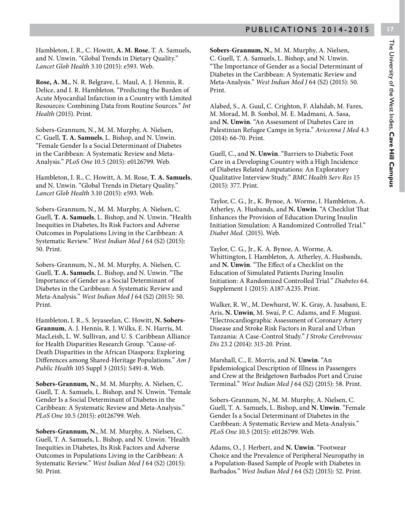Hambleton, I. R., C. Howitt, **A. M. Rose**, T. A. Samuels, and N. Unwin. "Global Trends in Dietary Quality." *Lancet Glob Health* 3.10 (2015): e593. Web.

**Rose, A. M.**, N. R. Belgrave, L. Maul, A. J. Hennis, R. Delice, and I. R. Hambleton. "Predicting the Burden of Acute Myocardial Infarction in a Country with Limited Resources: Combining Data from Routine Sources." *Int Health* (2015). Print.

Sobers-Grannum, N., M. M. Murphy, A. Nielsen, C. Guell, **T. A. Samuels**, L. Bishop, and N. Unwin. "Female Gender Is a Social Determinant of Diabetes in the Caribbean: A Systematic Review and Meta-Analysis." *PLoS One* 10.5 (2015): e0126799. Web.

Hambleton, I. R., C. Howitt, A. M. Rose, **T. A. Samuels**, and N. Unwin. "Global Trends in Dietary Quality." *Lancet Glob Health* 3.10 (2015): e593. Web.

Sobers-Grannum, N., M. M. Murphy, A. Nielsen, C. Guell, **T. A. Samuels**, L. Bishop, and N. Unwin. "Health Inequities in Diabetes, Its Risk Factors and Adverse Outcomes in Populations Living in the Caribbean: A Systematic Review." *West Indian Med J* 64 (S2) (2015): 50. Print.

Sobers-Grannum, N., M. M. Murphy, A. Nielsen, C. Guell, **T. A. Samuels**, L. Bishop, and N. Unwin. "The Importance of Gender as a Social Determinant of Diabetes in the Caribbean: A Systematic Review and Meta-Analysis." *West Indian Med J* 64 (S2) (2015): 50. Print.

Hambleton, I. R., S. Jeyaseelan, C. Howitt, **N. Sobers-Grannum**, A. J. Hennis, R. J. Wilks, E. N. Harris, M. MacLeish, L. W. Sullivan, and U. S. Caribbean Alliance for Health Disparities Research Group. "Cause-of-Death Disparities in the African Diaspora: Exploring Differences among Shared-Heritage Populations." *Am J Public Health* 105 Suppl 3 (2015): S491-8. Web.

**Sobers-Grannum, N.**, M. M. Murphy, A. Nielsen, C. Guell, T. A. Samuels, L. Bishop, and N. Unwin. "Female Gender Is a Social Determinant of Diabetes in the Caribbean: A Systematic Review and Meta-Analysis." *PLoS One* 10.5 (2015): e0126799. Web.

**Sobers-Grannum, N.**, M. M. Murphy, A. Nielsen, C. Guell, T. A. Samuels, L. Bishop, and N. Unwin. "Health Inequities in Diabetes, Its Risk Factors and Adverse Outcomes in Populations Living in the Caribbean: A Systematic Review." *West Indian Med J* 64 (S2) (2015): 50. Print.

**Sobers-Grannum, N.**, M. M. Murphy, A. Nielsen, C. Guell, T. A. Samuels, L. Bishop, and N. Unwin. "The Importance of Gender as a Social Determinant of Diabetes in the Caribbean: A Systematic Review and Meta-Analysis." *West Indian Med J* 64 (S2) (2015): 50. Print.

Alabed, S., A. Guul, C. Crighton, F. Alahdab, M. Fares, M. Morad, M. B. Sonbol, M. E. Madmani, A. Sasa, and **N. Unwin**. "An Assessment of Diabetes Care in Palestinian Refugee Camps in Syria." *Avicenna J Med* 4.3 (2014): 66-70. Print.

Guell, C., and **N. Unwin**. "Barriers to Diabetic Foot Care in a Developing Country with a High Incidence of Diabetes Related Amputations: An Exploratory Qualitative Interview Study." *BMC Health Serv Res* 15 (2015): 377. Print.

Taylor, C. G., Jr., K. Bynoe, A. Worme, I. Hambleton, A. Atherley, A. Husbands, and **N. Unwin**. "A Checklist That Enhances the Provision of Education During Insulin Initiation Simulation: A Randomized Controlled Trial." *Diabet Med.* (2015). Web.

Taylor, C. G., Jr., K. A. Bynoe, A. Worme, A. Whittington, I. Hambleton, A. Atherley, A. Husbands, and **N. Unwin**. "The Effect of a Checklist on the Education of Simulated Patients During Insulin Initiation: A Randomized Controlled Trial." *Diabetes* 64. Supplement 1 (2015): A187-A235. Print.

Walker, R. W., M. Dewhurst, W. K. Gray, A. Jusabani, E. Aris, **N. Unwin**, M. Swai, P. C. Adams, and F. Mugusi. "Electrocardiographic Assessment of Coronary Artery Disease and Stroke Risk Factors in Rural and Urban Tanzania: A Case-Control Study." *J Stroke Cerebrovasc Dis* 23.2 (2014): 315-20. Print.

Marshall, C., E. Morris, and N. **Unwin**. "An Epidemiological Description of Illness in Passengers and Crew at the Bridgetown Barbados Port and Cruise Terminal." *West Indian Med J* 64 (S2) (2015): 58. Print.

Sobers-Grannum, N., M. M. Murphy, A. Nielsen, C. Guell, T. A. Samuels, L. Bishop, and **N. Unwin**. "Female Gender Is a Social Determinant of Diabetes in the Caribbean: A Systematic Review and Meta-Analysis." *PLoS One* 10.5 (2015): e0126799. Web.

Adams, O., J. Herbert, and **N. Unwin**. "Footwear Choice and the Prevalence of Peripheral Neuropathy in a Population-Based Sample of People with Diabetes in Barbados." *West Indian Med J* 64 (S2) (2015): 52. Print.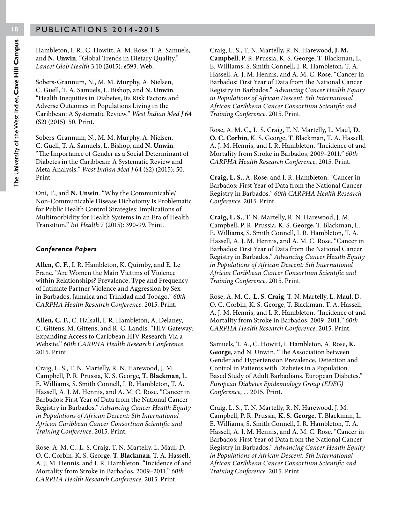Hambleton, I. R., C. Howitt, A. M. Rose, T. A. Samuels, and **N. Unwin**. "Global Trends in Dietary Quality." *Lancet Glob Health* 3.10 (2015): e593. Web.

Sobers-Grannum, N., M. M. Murphy, A. Nielsen, C. Guell, T. A. Samuels, L. Bishop, and **N. Unwin**. "Health Inequities in Diabetes, Its Risk Factors and Adverse Outcomes in Populations Living in the Caribbean: A Systematic Review." *West Indian Med J* 64 (S2) (2015): 50. Print.

Sobers-Grannum, N., M. M. Murphy, A. Nielsen, C. Guell, T. A. Samuels, L. Bishop, and **N. Unwin**. "The Importance of Gender as a Social Determinant of Diabetes in the Caribbean: A Systematic Review and Meta-Analysis." *West Indian Med J* 64 (S2) (2015): 50. Print.

Oni, T., and **N. Unwin**. "Why the Communicable/ Non-Communicable Disease Dichotomy Is Problematic for Public Health Control Strategies: Implications of Multimorbidity for Health Systems in an Era of Health Transition." *Int Health* 7 (2015): 390-99. Print.

#### *Conference Papers*

**Allen, C. F.**, I. R. Hambleton, K. Quimby, and E. Le Franc. "Are Women the Main Victims of Violence within Relationships? Prevalence, Type and Frequency of Intimate Partner Violence and Aggression by Sex in Barbados, Jamaica and Trinidad and Tobago." *60th CARPHA Health Research Conference*. 2015. Print.

**Allen, C. F.**, C. Halsall, I. R. Hambleton, A. Delaney, C. Gittens, M. Gittens, and R. C. Landis. "HIV Gateway: Expanding Access to Caribbean HIV Research Via a Website." *60th CARPHA Health Research Conference*. 2015. Print.

Craig, L. S., T. N. Martelly, R. N. Harewood, J. M. Campbell, P. R. Prussia, K. S. George, **T. Blackman**, L. E. Williams, S. Smith Connell, I. R. Hambleton, T. A. Hassell, A. J. M. Hennis, and A. M. C. Rose. "Cancer in Barbados: First Year of Data from the National Cancer Registry in Barbados." *Advancing Cancer Health Equity in Populations of African Descent: 5th International African Caribbean Cancer Consortium Scientific and Training Conference*. 2015. Print.

Rose, A. M. C., L. S. Craig, T. N. Martelly, L. Maul, D. O. C. Corbin, K. S. George, **T. Blackman**, T. A. Hassell, A. J. M. Hennis, and I. R. Hambleton. "Incidence of and Mortality from Stroke in Barbados, 2009–2011." *60th CARPHA Health Research Conference*. 2015. Print.

Craig, L. S., T. N. Martelly, R. N. Harewood, **J. M. Campbell**, P. R. Prussia, K. S. George, T. Blackman, L. E. Williams, S. Smith Connell, I. R. Hambleton, T. A. Hassell, A. J. M. Hennis, and A. M. C. Rose. "Cancer in Barbados: First Year of Data from the National Cancer Registry in Barbados." *Advancing Cancer Health Equity in Populations of African Descent: 5th International African Caribbean Cancer Consortium Scientific and Training Conference*. 2015. Print.

Rose, A. M. C., L. S. Craig, T. N. Martelly, L. Maul, **D. O. C. Corbin**, K. S. George, T. Blackman, T. A. Hassell, A. J. M. Hennis, and I. R. Hambleton. "Incidence of and Mortality from Stroke in Barbados, 2009–2011." *60th CARPHA Health Research Conference*. 2015. Print.

**Craig, L. S.**, A. Rose, and I. R. Hambleton. "Cancer in Barbados: First Year of Data from the National Cancer Registry in Barbados." *60th CARPHA Health Research Conference*. 2015. Print.

**Craig, L. S.**, T. N. Martelly, R. N. Harewood, J. M. Campbell, P. R. Prussia, K. S. George, T. Blackman, L. E. Williams, S. Smith Connell, I. R. Hambleton, T. A. Hassell, A. J. M. Hennis, and A. M. C. Rose. "Cancer in Barbados: First Year of Data from the National Cancer Registry in Barbados." *Advancing Cancer Health Equity in Populations of African Descent: 5th International African Caribbean Cancer Consortium Scientific and Training Conference*. 2015. Print.

Rose, A. M. C., **L. S. Craig**, T. N. Martelly, L. Maul, D. O. C. Corbin, K. S. George, T. Blackman, T. A. Hassell, A. J. M. Hennis, and I. R. Hambleton. "Incidence of and Mortality from Stroke in Barbados, 2009–2011." *60th CARPHA Health Research Conference*. 2015. Print.

Samuels, T. A., C. Howitt, I. Hambleton, A. Rose, **K. George**, and N. Unwin. "The Association between Gender and Hypertension Prevalence, Detection and Control in Patients with Diabetes in a Population Based Study of Adult Barbadians. European Diabetes." *European Diabetes Epidemiology Group (EDEG) Conference, .* . 2015. Print.

Craig, L. S., T. N. Martelly, R. N. Harewood, J. M. Campbell, P. R. Prussia, **K. S. George**, T. Blackman, L. E. Williams, S. Smith Connell, I. R. Hambleton, T. A. Hassell, A. J. M. Hennis, and A. M. C. Rose. "Cancer in Barbados: First Year of Data from the National Cancer Registry in Barbados." *Advancing Cancer Health Equity in Populations of African Descent: 5th International African Caribbean Cancer Consortium Scientific and Training Conference*. 2015. Print.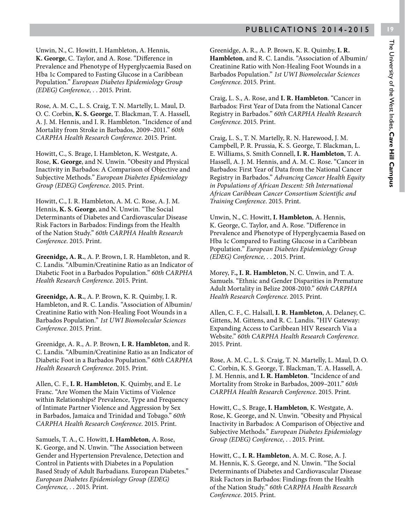Unwin, N., C. Howitt, I. Hambleton, A. Hennis, **K. George**, C. Taylor, and A. Rose. "Difference in Prevalence and Phenotype of Hyperglycaemia Based on Hba 1c Compared to Fasting Glucose in a Caribbean Population." *European Diabetes Epidemiology Group (EDEG) Conference, .* . 2015. Print.

Rose, A. M. C., L. S. Craig, T. N. Martelly, L. Maul, D. O. C. Corbin, **K. S. George**, T. Blackman, T. A. Hassell, A. J. M. Hennis, and I. R. Hambleton. "Incidence of and Mortality from Stroke in Barbados, 2009–2011." *60th CARPHA Health Research Conference*. 2015. Print.

Howitt, C., S. Brage, I. Hambleton, K. Westgate, A. Rose, **K. George**, and N. Unwin. "Obesity and Physical Inactivity in Barbados: A Comparison of Objective and Subjective Methods." *European Diabetes Epidemiology Group (EDEG) Conference*. 2015. Print.

Howitt, C., I. R. Hambleton, A. M. C. Rose, A. J. M. Hennis, **K. S. George**, and N. Unwin. "The Social Determinants of Diabetes and Cardiovascular Disease Risk Factors in Barbados: Findings from the Health of the Nation Study." *60th CARPHA Health Research Conference*. 2015. Print.

**Greenidge, A. R.**, A. P. Brown, I. R. Hambleton, and R. C. Landis. "Albumin/Creatinine Ratio as an Indicator of Diabetic Foot in a Barbados Population." *60th CARPHA Health Research Conference*. 2015. Print.

**Greenidge, A. R.**, A. P. Brown, K. R. Quimby, I. R. Hambleton, and R. C. Landis. "Association of Albumin/ Creatinine Ratio with Non-Healing Foot Wounds in a Barbados Population." *1st UWI Biomolecular Sciences Conference*. 2015. Print.

Greenidge, A. R., A. P. Brown, **I. R. Hambleton**, and R. C. Landis. "Albumin/Creatinine Ratio as an Indicator of Diabetic Foot in a Barbados Population." *60th CARPHA Health Research Conference*. 2015. Print.

Allen, C. F., **I. R. Hambleton**, K. Quimby, and E. Le Franc. "Are Women the Main Victims of Violence within Relationships? Prevalence, Type and Frequency of Intimate Partner Violence and Aggression by Sex in Barbados, Jamaica and Trinidad and Tobago." *60th CARPHA Health Research Conference*. 2015. Print.

Samuels, T. A., C. Howitt, **I. Hambleton**, A. Rose, K. George, and N. Unwin. "The Association between Gender and Hypertension Prevalence, Detection and Control in Patients with Diabetes in a Population Based Study of Adult Barbadians. European Diabetes." *European Diabetes Epidemiology Group (EDEG) Conference, .* . 2015. Print.

Greenidge, A. R., A. P. Brown, K. R. Quimby, **I. R. Hambleton**, and R. C. Landis. "Association of Albumin/ Creatinine Ratio with Non-Healing Foot Wounds in a Barbados Population." *1st UWI Biomolecular Sciences Conference*. 2015. Print.

Craig, L. S., A. Rose, and **I. R. Hambleton**. "Cancer in Barbados: First Year of Data from the National Cancer Registry in Barbados." *60th CARPHA Health Research Conference*. 2015. Print.

Craig, L. S., T. N. Martelly, R. N. Harewood, J. M. Campbell, P. R. Prussia, K. S. George, T. Blackman, L. E. Williams, S. Smith Connell, **I. R. Hambleton**, T. A. Hassell, A. J. M. Hennis, and A. M. C. Rose. "Cancer in Barbados: First Year of Data from the National Cancer Registry in Barbados." *Advancing Cancer Health Equity in Populations of African Descent: 5th International African Caribbean Cancer Consortium Scientific and Training Conference*. 2015. Print.

Unwin, N., C. Howitt, **I. Hambleton**, A. Hennis, K. George, C. Taylor, and A. Rose. "Difference in Prevalence and Phenotype of Hyperglycaemia Based on Hba 1c Compared to Fasting Glucose in a Caribbean Population." *European Diabetes Epidemiology Group (EDEG) Conference, .* . 2015. Print.

Morey, F**., I. R. Hambleton**, N. C. Unwin, and T. A. Samuels. "Ethnic and Gender Disparities in Premature Adult Mortality in Belize 2008-2010." *60th CARPHA Health Research Conference*. 2015. Print.

Allen, C. F., C. Halsall, **I. R. Hambleton**, A. Delaney, C. Gittens, M. Gittens, and R. C. Landis. "HIV Gateway: Expanding Access to Caribbean HIV Research Via a Website." *60th CARPHA Health Research Conference*. 2015. Print.

Rose, A. M. C., L. S. Craig, T. N. Martelly, L. Maul, D. O. C. Corbin, K. S. George, T. Blackman, T. A. Hassell, A. J. M. Hennis, and **I. R. Hambleton**. "Incidence of and Mortality from Stroke in Barbados, 2009–2011." *60th CARPHA Health Research Conference*. 2015. Print.

Howitt, C., S. Brage, **I. Hambleton**, K. Westgate, A. Rose, K. George, and N. Unwin. "Obesity and Physical Inactivity in Barbados: A Comparison of Objective and Subjective Methods." *European Diabetes Epidemiology Group (EDEG) Conference, .* . 2015. Print.

Howitt, C., **I. R. Hambleton**, A. M. C. Rose, A. J. M. Hennis, K. S. George, and N. Unwin. "The Social Determinants of Diabetes and Cardiovascular Disease Risk Factors in Barbados: Findings from the Health of the Nation Study." *60th CARPHA Health Research Conference*. 2015. Print.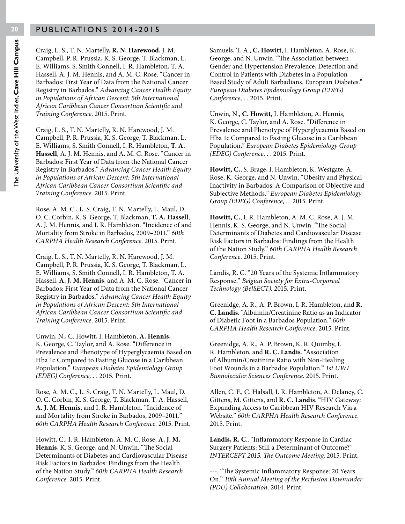Craig, L. S., T. N. Martelly, **R. N. Harewood**, J. M. Campbell, P. R. Prussia, K. S. George, T. Blackman, L. E. Williams, S. Smith Connell, I. R. Hambleton, T. A. Hassell, A. J. M. Hennis, and A. M. C. Rose. "Cancer in Barbados: First Year of Data from the National Cancer Registry in Barbados." *Advancing Cancer Health Equity in Populations of African Descent: 5th International African Caribbean Cancer Consortium Scientific and Training Conference*. 2015. Print.

Craig, L. S., T. N. Martelly, R. N. Harewood, J. M. Campbell, P. R. Prussia, K. S. George, T. Blackman, L. E. Williams, S. Smith Connell, I. R. Hambleton, **T. A. Hassell**, A. J. M. Hennis, and A. M. C. Rose. "Cancer in Barbados: First Year of Data from the National Cancer Registry in Barbados." *Advancing Cancer Health Equity in Populations of African Descent: 5th International African Caribbean Cancer Consortium Scientific and Training Conference*. 2015. Print.

Rose, A. M. C., L. S. Craig, T. N. Martelly, L. Maul, D. O. C. Corbin, K. S. George, T. Blackman, **T. A. Hassell**, A. J. M. Hennis, and I. R. Hambleton. "Incidence of and Mortality from Stroke in Barbados, 2009–2011." *60th CARPHA Health Research Conference*. 2015. Print.

Craig, L. S., T. N. Martelly, R. N. Harewood, J. M. Campbell, P. R. Prussia, K. S. George, T. Blackman, L. E. Williams, S. Smith Connell, I. R. Hambleton, T. A. Hassell, **A. J. M. Hennis**, and A. M. C. Rose. "Cancer in Barbados: First Year of Data from the National Cancer Registry in Barbados." *Advancing Cancer Health Equity in Populations of African Descent: 5th International African Caribbean Cancer Consortium Scientific and Training Conference*. 2015. Print.

Unwin, N., C. Howitt, I. Hambleton, **A. Hennis**, K. George, C. Taylor, and A. Rose. "Difference in Prevalence and Phenotype of Hyperglycaemia Based on Hba 1c Compared to Fasting Glucose in a Caribbean Population." *European Diabetes Epidemiology Group (EDEG) Conference, .* . 2015. Print.

Rose, A. M. C., L. S. Craig, T. N. Martelly, L. Maul, D. O. C. Corbin, K. S. George, T. Blackman, T. A. Hassell, **A. J. M. Hennis**, and I. R. Hambleton. "Incidence of and Mortality from Stroke in Barbados, 2009–2011." *60th CARPHA Health Research Conference*. 2015. Print.

Howitt, C., I. R. Hambleton, A. M. C. Rose, **A. J. M. Hennis**, K. S. George, and N. Unwin. "The Social Determinants of Diabetes and Cardiovascular Disease Risk Factors in Barbados: Findings from the Health of the Nation Study." *60th CARPHA Health Research Conference*. 2015. Print.

Samuels, T. A., **C. Howitt**, I. Hambleton, A. Rose, K. George, and N. Unwin. "The Association between Gender and Hypertension Prevalence, Detection and Control in Patients with Diabetes in a Population Based Study of Adult Barbadians. European Diabetes." *European Diabetes Epidemiology Group (EDEG) Conference, .* . 2015. Print.

Unwin, N., **C. Howitt**, I. Hambleton, A. Hennis, K. George, C. Taylor, and A. Rose. "Difference in Prevalence and Phenotype of Hyperglycaemia Based on Hba 1c Compared to Fasting Glucose in a Caribbean Population." *European Diabetes Epidemiology Group (EDEG) Conference, .* . 2015. Print.

**Howitt, C.**, S. Brage, I. Hambleton, K. Westgate, A. Rose, K. George, and N. Unwin. "Obesity and Physical Inactivity in Barbados: A Comparison of Objective and Subjective Methods." *European Diabetes Epidemiology Group (EDEG) Conference, .* . 2015. Print.

**Howitt, C.**, I. R. Hambleton, A. M. C. Rose, A. J. M. Hennis, K. S. George, and N. Unwin. "The Social Determinants of Diabetes and Cardiovascular Disease Risk Factors in Barbados: Findings from the Health of the Nation Study." *60th CARPHA Health Research Conference*. 2015. Print.

Landis, R. C. "20 Years of the Systemic Inflammatory Response." *Belgian Society for Extra-Corporeal Technology (BelSECT)*. 2015. Print.

Greenidge, A. R., A. P. Brown, I. R. Hambleton, and **R. C. Landis**. "Albumin/Creatinine Ratio as an Indicator of Diabetic Foot in a Barbados Population." *60th CARPHA Health Research Conference*. 2015. Print.

Greenidge, A. R., A. P. Brown, K. R. Quimby, I. R. Hambleton, and **R. C. Landis**. "Association of Albumin/Creatinine Ratio with Non-Healing Foot Wounds in a Barbados Population." *1st UWI Biomolecular Sciences Conference*. 2015. Print.

Allen, C. F., C. Halsall, I. R. Hambleton, A. Delaney, C. Gittens, M. Gittens, and **R. C. Landis**. "HIV Gateway: Expanding Access to Caribbean HIV Research Via a Website." *60th CARPHA Health Research Conference*. 2015. Print.

**Landis, R. C**.. "Inflammatory Response in Cardiac Surgery Patients: Still a Determinant of Outcome?" *INTERCEPT 2015, The Outcome Meeting*. 2015. Print.

---. "The Systemic Inflammatory Response: 20 Years On." *10th Annual Meeting of the Perfusion Downunder (PDU) Collaboration*. 2014. Print.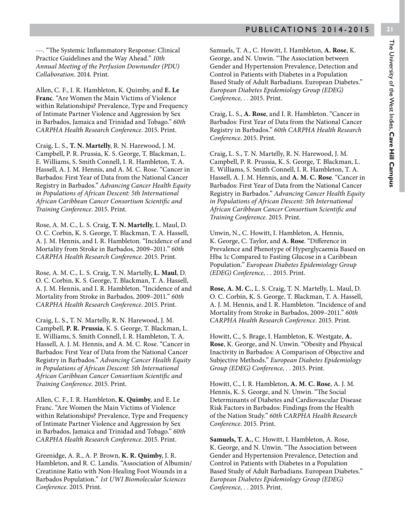---. "The Systemic Inflammatory Response: Clinical Practice Guidelines and the Way Ahead." *10th Annual Meeting of the Perfusion Downunder (PDU) Collaboration*. 2014. Print.

Allen, C. F., I. R. Hambleton, K. Quimby, and **E. Le Franc**. "Are Women the Main Victims of Violence within Relationships? Prevalence, Type and Frequency of Intimate Partner Violence and Aggression by Sex in Barbados, Jamaica and Trinidad and Tobago." *60th CARPHA Health Research Conference*. 2015. Print.

Craig, L. S., **T. N. Martelly**, R. N. Harewood, J. M. Campbell, P. R. Prussia, K. S. George, T. Blackman, L. E. Williams, S. Smith Connell, I. R. Hambleton, T. A. Hassell, A. J. M. Hennis, and A. M. C. Rose. "Cancer in Barbados: First Year of Data from the National Cancer Registry in Barbados." *Advancing Cancer Health Equity in Populations of African Descent: 5th International African Caribbean Cancer Consortium Scientific and Training Conference*. 2015. Print.

Rose, A. M. C., L. S. Craig, **T. N. Martelly**, L. Maul, D. O. C. Corbin, K. S. George, T. Blackman, T. A. Hassell, A. J. M. Hennis, and I. R. Hambleton. "Incidence of and Mortality from Stroke in Barbados, 2009–2011." *60th CARPHA Health Research Conference*. 2015. Print.

Rose, A. M. C., L. S. Craig, T. N. Martelly, **L. Maul**, D. O. C. Corbin, K. S. George, T. Blackman, T. A. Hassell, A. J. M. Hennis, and I. R. Hambleton. "Incidence of and Mortality from Stroke in Barbados, 2009–2011." *60th CARPHA Health Research Conference*. 2015. Print.

Craig, L. S., T. N. Martelly, R. N. Harewood, J. M. Campbell, **P. R. Prussia**, K. S. George, T. Blackman, L. E. Williams, S. Smith Connell, I. R. Hambleton, T. A. Hassell, A. J. M. Hennis, and A. M. C. Rose. "Cancer in Barbados: First Year of Data from the National Cancer Registry in Barbados." *Advancing Cancer Health Equity in Populations of African Descent: 5th International African Caribbean Cancer Consortium Scientific and Training Conference*. 2015. Print.

Allen, C. F., I. R. Hambleton, **K. Quimby**, and E. Le Franc. "Are Women the Main Victims of Violence within Relationships? Prevalence, Type and Frequency of Intimate Partner Violence and Aggression by Sex in Barbados, Jamaica and Trinidad and Tobago." *60th CARPHA Health Research Conference*. 2015. Print.

Greenidge, A. R., A. P. Brown, **K. R. Quimby**, I. R. Hambleton, and R. C. Landis. "Association of Albumin/ Creatinine Ratio with Non-Healing Foot Wounds in a Barbados Population." *1st UWI Biomolecular Sciences Conference*. 2015. Print.

Samuels, T. A., C. Howitt, I. Hambleton, **A. Rose**, K. George, and N. Unwin. "The Association between Gender and Hypertension Prevalence, Detection and Control in Patients with Diabetes in a Population Based Study of Adult Barbadians. European Diabetes." *European Diabetes Epidemiology Group (EDEG) Conference, .* . 2015. Print.

Craig, L. S., **A. Rose**, and I. R. Hambleton. "Cancer in Barbados: First Year of Data from the National Cancer Registry in Barbados." *60th CARPHA Health Research Conference*. 2015. Print.

Craig, L. S., T. N. Martelly, R. N. Harewood, J. M. Campbell, P. R. Prussia, K. S. George, T. Blackman, L. E. Williams, S. Smith Connell, I. R. Hambleton, T. A. Hassell, A. J. M. Hennis, and **A. M. C. Rose**. "Cancer in Barbados: First Year of Data from the National Cancer Registry in Barbados." *Advancing Cancer Health Equity in Populations of African Descent: 5th International African Caribbean Cancer Consortium Scientific and Training Conference*. 2015. Print.

Unwin, N., C. Howitt, I. Hambleton, A. Hennis, K. George, C. Taylor, and **A. Rose**. "Difference in Prevalence and Phenotype of Hyperglycaemia Based on Hba 1c Compared to Fasting Glucose in a Caribbean Population." *European Diabetes Epidemiology Group (EDEG) Conference, .* . 2015. Print.

**Rose, A. M. C.**, L. S. Craig, T. N. Martelly, L. Maul, D. O. C. Corbin, K. S. George, T. Blackman, T. A. Hassell, A. J. M. Hennis, and I. R. Hambleton. "Incidence of and Mortality from Stroke in Barbados, 2009–2011." *60th CARPHA Health Research Conference*. 2015. Print.

Howitt, C., S. Brage, I. Hambleton, K. Westgate, **A. Rose**, K. George, and N. Unwin. "Obesity and Physical Inactivity in Barbados: A Comparison of Objective and Subjective Methods." *European Diabetes Epidemiology Group (EDEG) Conference, .* . 2015. Print.

Howitt, C., I. R. Hambleton, **A. M. C. Rose**, A. J. M. Hennis, K. S. George, and N. Unwin. "The Social Determinants of Diabetes and Cardiovascular Disease Risk Factors in Barbados: Findings from the Health of the Nation Study." *60th CARPHA Health Research Conference*. 2015. Print.

**Samuels, T. A.**, C. Howitt, I. Hambleton, A. Rose, K. George, and N. Unwin. "The Association between Gender and Hypertension Prevalence, Detection and Control in Patients with Diabetes in a Population Based Study of Adult Barbadians. European Diabetes." *European Diabetes Epidemiology Group (EDEG) Conference, .* . 2015. Print.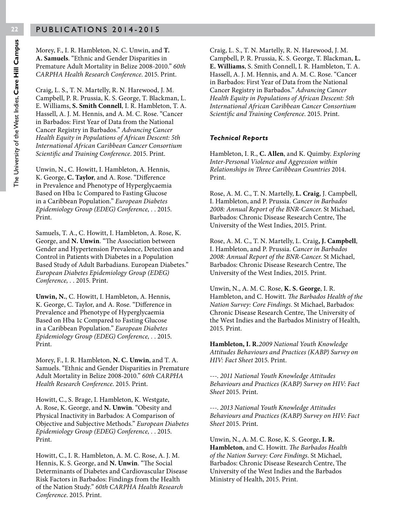Morey, F., I. R. Hambleton, N. C. Unwin, and **T. A. Samuels**. "Ethnic and Gender Disparities in Premature Adult Mortality in Belize 2008-2010." *60th CARPHA Health Research Conference*. 2015. Print.

Craig, L. S., T. N. Martelly, R. N. Harewood, J. M. Campbell, P. R. Prussia, K. S. George, T. Blackman, L. E. Williams, **S. Smith Connell**, I. R. Hambleton, T. A. Hassell, A. J. M. Hennis, and A. M. C. Rose. "Cancer in Barbados: First Year of Data from the National Cancer Registry in Barbados." *Advancing Cancer Health Equity in Populations of African Descent: 5th International African Caribbean Cancer Consortium Scientific and Training Conference*. 2015. Print.

Unwin, N., C. Howitt, I. Hambleton, A. Hennis, K. George, **C. Taylor**, and A. Rose. "Difference in Prevalence and Phenotype of Hyperglycaemia Based on Hba 1c Compared to Fasting Glucose in a Caribbean Population." *European Diabetes Epidemiology Group (EDEG) Conference, .* . 2015. Print.

Samuels, T. A., C. Howitt, I. Hambleton, A. Rose, K. George, and **N. Unwin**. "The Association between Gender and Hypertension Prevalence, Detection and Control in Patients with Diabetes in a Population Based Study of Adult Barbadians. European Diabetes." *European Diabetes Epidemiology Group (EDEG) Conference, .* . 2015. Print.

**Unwin, N.**, C. Howitt, I. Hambleton, A. Hennis, K. George, C. Taylor, and A. Rose. "Difference in Prevalence and Phenotype of Hyperglycaemia Based on Hba 1c Compared to Fasting Glucose in a Caribbean Population." *European Diabetes Epidemiology Group (EDEG) Conference, .* . 2015. Print.

Morey, F., I. R. Hambleton, **N. C. Unwin**, and T. A. Samuels. "Ethnic and Gender Disparities in Premature Adult Mortality in Belize 2008-2010." *60th CARPHA Health Research Conference*. 2015. Print.

Howitt, C., S. Brage, I. Hambleton, K. Westgate, A. Rose, K. George, and **N. Unwin**. "Obesity and Physical Inactivity in Barbados: A Comparison of Objective and Subjective Methods." *European Diabetes Epidemiology Group (EDEG) Conference, .* . 2015. Print.

Howitt, C., I. R. Hambleton, A. M. C. Rose, A. J. M. Hennis, K. S. George, and **N. Unwin**. "The Social Determinants of Diabetes and Cardiovascular Disease Risk Factors in Barbados: Findings from the Health of the Nation Study." *60th CARPHA Health Research Conference*. 2015. Print.

Craig, L. S., T. N. Martelly, R. N. Harewood, J. M. Campbell, P. R. Prussia, K. S. George, T. Blackman, **L. E. Williams**, S. Smith Connell, I. R. Hambleton, T. A. Hassell, A. J. M. Hennis, and A. M. C. Rose. "Cancer in Barbados: First Year of Data from the National Cancer Registry in Barbados." *Advancing Cancer Health Equity in Populations of African Descent: 5th International African Caribbean Cancer Consortium Scientific and Training Conference*. 2015. Print.

#### *Technical Reports*

Hambleton, I. R., **C. Allen**, and K. Quimby. *Exploring Inter-Personal Violence and Aggression within Relationships in Three Caribbean Countries* 2014. Print.

Rose, A. M. C., T. N. Martelly, **L. Craig**, J. Campbell, I. Hambleton, and P. Prussia. *Cancer in Barbados 2008: Annual Report of the BNR-Cancer*. St Michael, Barbados: Chronic Disease Research Centre, The University of the West Indies, 2015. Print.

Rose, A. M. C., T. N. Martelly, L. Craig**, J. Campbell**, I. Hambleton, and P. Prussia. *Cancer in Barbados 2008: Annual Report of the BNR-Cancer*. St Michael, Barbados: Chronic Disease Research Centre, The University of the West Indies, 2015. Print.

Unwin, N., A. M. C. Rose, **K. S. George**, I. R. Hambleton, and C. Howitt. *The Barbados Health of the Nation Survey: Core Findings*. St Michael, Barbados: Chronic Disease Research Centre, The University of the West Indies and the Barbados Ministry of Health, 2015. Print.

**Hambleton, I. R.***2009 National Youth Knowledge Attitudes Behaviours and Practices (KABP) Survey on HIV: Fact Sheet* 2015. Print.

---. *2011 National Youth Knowledge Attitudes Behaviours and Practices (KABP) Survey on HIV: Fact Sheet* 2015. Print.

---. *2013 National Youth Knowledge Attitudes Behaviours and Practices (KABP) Survey on HIV: Fact Sheet* 2015. Print.

Unwin, N., A. M. C. Rose, K. S. George, **I. R. Hambleton**, and C. Howitt. *The Barbados Health of the Nation Survey: Core Findings*. St Michael, Barbados: Chronic Disease Research Centre, The University of the West Indies and the Barbados Ministry of Health, 2015. Print.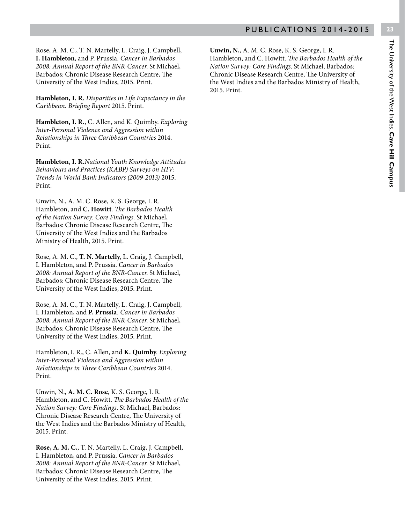Rose, A. M. C., T. N. Martelly, L. Craig, J. Campbell, **I. Hambleton**, and P. Prussia. *Cancer in Barbados 2008: Annual Report of the BNR-Cancer*. St Michael, Barbados: Chronic Disease Research Centre, The University of the West Indies, 2015. Print.

**Hambleton, I. R.** *Disparities in Life Expectancy in the Caribbean. Briefing Report* 2015. Print.

**Hambleton, I. R.**, C. Allen, and K. Quimby. *Exploring Inter-Personal Violence and Aggression within Relationships in Three Caribbean Countries* 2014. Print.

**Hambleton, I. R.***National Youth Knowledge Attitudes Behaviours and Practices (KABP) Surveys on HIV: Trends in World Bank Indicators (2009-2013)* 2015. Print.

Unwin, N., A. M. C. Rose, K. S. George, I. R. Hambleton, and **C. Howitt**. *The Barbados Health of the Nation Survey: Core Findings*. St Michael, Barbados: Chronic Disease Research Centre, The University of the West Indies and the Barbados Ministry of Health, 2015. Print.

Rose, A. M. C., **T. N. Martelly**, L. Craig, J. Campbell, I. Hambleton, and P. Prussia. *Cancer in Barbados 2008: Annual Report of the BNR-Cancer*. St Michael, Barbados: Chronic Disease Research Centre, The University of the West Indies, 2015. Print.

Rose, A. M. C., T. N. Martelly, L. Craig, J. Campbell, I. Hambleton, and **P. Prussia**. *Cancer in Barbados 2008: Annual Report of the BNR-Cancer*. St Michael, Barbados: Chronic Disease Research Centre, The University of the West Indies, 2015. Print.

Hambleton, I. R., C. Allen, and **K. Quimby**. *Exploring Inter-Personal Violence and Aggression within Relationships in Three Caribbean Countries* 2014. Print.

Unwin, N., **A. M. C. Rose**, K. S. George, I. R. Hambleton, and C. Howitt. *The Barbados Health of the Nation Survey: Core Findings*. St Michael, Barbados: Chronic Disease Research Centre, The University of the West Indies and the Barbados Ministry of Health, 2015. Print.

**Rose, A. M. C.**, T. N. Martelly, L. Craig, J. Campbell, I. Hambleton, and P. Prussia. *Cancer in Barbados 2008: Annual Report of the BNR-Cancer*. St Michael, Barbados: Chronic Disease Research Centre, The University of the West Indies, 2015. Print.

**Unwin, N.**, A. M. C. Rose, K. S. George, I. R. Hambleton, and C. Howitt. *The Barbados Health of the Nation Survey: Core Findings*. St Michael, Barbados: Chronic Disease Research Centre, The University of the West Indies and the Barbados Ministry of Health, 2015. Print.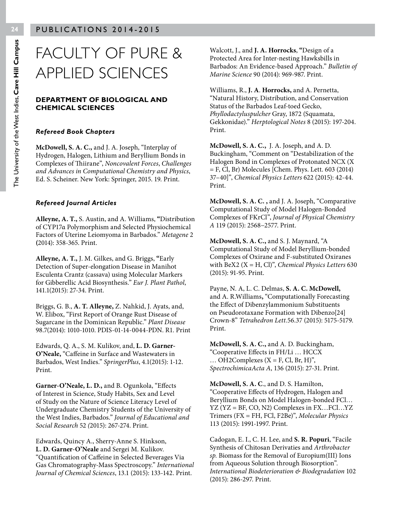## FACULTY OF PURE & APPLIED SCIENCES

#### **DEPARTMENT OF BIOLOGICAL AND CHEMICAL SCIENCES**

#### *Refereed Book Chapters*

**McDowell, S. A. C.,** and J. A. Joseph, "Interplay of Hydrogen, Halogen, Lithium and Beryllium Bonds in Complexes of Thiirane", *Noncovalent Forces*, *Challenges and Advances in Computational Chemistry and Physics*, Ed. S. Scheiner. New York: Springer, 2015. 19. Print.

#### *Refereed Journal Articles*

**Alleyne, A. T.,** S. Austin, and A. Williams, **"**Distribution of CYP17α Polymorphism and Selected Physiochemical Factors of Uterine Leiomyoma in Barbados." *Metagene* 2 **(**2014): 358-365. Print.

**Alleyne, A. T.,** J. M. Gilkes, and G. Briggs, **"**Early Detection of Super-elongation Disease in Manihot Esculenta Crantz (cassava) using Molecular Markers for Gibberellic Acid Biosynthesis." *Eur J. Plant Pathol*, 141.1(2015): 27-34. Print.

Briggs, G. B., **A. T. Alleyne,** Z. Nahkid, J. Ayats, and, W. Elibox, "First Report of Orange Rust Disease of Sugarcane in the Dominican Republic." *Plant Disease* 98.7(2014): 1010-1010. PDIS-01-14-0044-PDN. R1. Print

Edwards, Q. A., S. M. Kulikov, and, **L. D. Garner-O'Neale,** "Caffeine in Surface and Wastewaters in Barbados, West Indies." *SpringerPlus*, 4.1(2015): 1-12. Print.

**Garner-O'Neale, L. D.,** and B. Ogunkola, "Effects of Interest in Science, Study Habits, Sex and Level of Study on the Nature of Science Literacy Level of Undergraduate Chemistry Students of the University of the West Indies, Barbados." *Journal of Educational and Social Research* 52 *(*2015): 267-274. Print.

Edwards, Quincy A., Sherry-Anne S. Hinkson, **L. D. Garner-O'Neale** and Sergei M. Kulikov. "Quantification of Caffeine in Selected Beverages Via Gas Chromatography-Mass Spectroscopy." *International Journal of Chemical Sciences*, 13.1 (2015): 133-142. Print.

Walcott, J., and **J. A. Horrocks**, **"**Design of a Protected Area for Inter-nesting Hawksbills in Barbados: An Evidence-based Approach." *Bulletin of Marine Science* 90 (2014): 969-987. Print.

Williams, R., **J. A**. **Horrocks,** and A. Pernetta, "Natural History, Distribution, and Conservation Status of the Barbados Leaf-toed Gecko, *Phyllodactyluspulcher* Gray, 1872 (Squamata, Gekkonidae)." *Herptological Notes* 8 (2015): 197-204. Print.

**McDowell, S. A. C.,** J. A. Joseph, and A. D. Buckingham, "Comment on "Destabilization of the Halogen Bond in Complexes of Protonated NCX (X = F, Cl, Br) Molecules [Chem. Phys. Lett. 603 (2014) 37–40]", *Chemical Physics Letters* 622 (2015): 42-44. Print.

**McDowell, S. A. C. ,** and J. A. Joseph, "Comparative Computational Study of Model Halogen-Bonded Complexes of FKrCl", *Journal of Physical Chemistry A* 119 (2015): 2568−2577. Print.

**McDowell, S. A. C.,** and S. J. Maynard, "A Computational Study of Model Beryllium-bonded Complexes of Oxirane and F-substituted Oxiranes with BeX2 (X = H, Cl)", *Chemical Physics Letters* 630 (2015): 91-95. Print.

Payne, N. A, L. C. Delmas, **S. A. C. McDowell,** and A. R.Williams**,** "Computationally Forecasting the Effect of Dibenzylammonium Substituents on Pseudorotaxane Formation with Dibenzo[24] Crown-8" *Tetrahedron Lett.*56.37 (2015): 5175-5179. Print.

**McDowell, S. A. C.,** and A. D. Buckingham, "Cooperative Effects in FH/Li … HCCX  $\ldots$  OH2Complexes (X = F, Cl, Br, H)", *SpectrochimicaActa A*, 136 (2015): 27-31. Print.

**McDowell, S. A. C**., and D. S. Hamilton, "Cooperative Effects of Hydrogen, Halogen and Beryllium Bonds on Model Halogen-bonded FCl… YZ (YZ = BF, CO, N2) Complexes in FX…FCl…YZ Trimers (FX = FH, FCl, F2Be)", *Molecular Physics* 113 (2015): 1991-1997. Print.

Cadogan, E. I., C. H. Lee, and **S. R. Popuri**, "Facile Synthesis of Chitosan Derivaties and *Arthrobacter sp.* Biomass for the Removal of Europium(III) Ions from Aqueous Solution through Biosorption". *International Biodeterioration & Biodegradation* 102 (2015): 286-297. Print.

The University of the West Indies, **Cave Hill Campus**

The University of the West Indies, Cave Hill Campus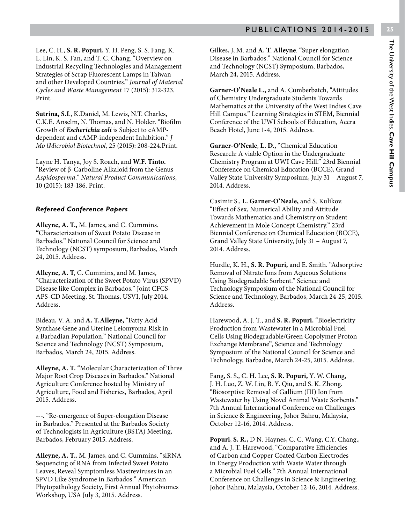Lee, C. H., **S. R. Popuri**, Y. H. Peng*,* S. S. Fang, K. L. Lin, K. S. Fan, and T. C. Chang. "Overview on Industrial Recycling Technologies and Management Strategies of Scrap Fluorescent Lamps in Taiwan and other Developed Countries." *Journal of Material Cycles and Waste Management* 17 (2015): 312-323*.*  Print.

**Sutrina, S.L**, K.Daniel, M. Lewis, N.T. Charles, C.K.E. Anselm, N. Thomas, and N. Holder. "Biofilm Growth of *Escherichia coli* is Subject to cAMPdependent and cAMP-independent Inhibition." *J Mo lMicrobiol Biotechnol*, 25 (2015): 208-224.Print.

Layne H. Tanya, Joy S. Roach, and **W.F. Tinto.** "Review of β-Carboline Alkaloid from the Genus *Aspidosperma*." *Natural Product Communications*, 10 (2015): 183-186. Print.

#### *Refereed Conference Papers*

**Alleyne, A. T.,** M. James, and C. Cummins. **"**Characterization of Sweet Potato Disease in Barbados." National Council for Science and Technology (NCST) symposium, Barbados, March 24, 2015. Address.

**Alleyne, A. T**, C. Cummins, and M. James, "Characterization of the Sweet Potato Virus (SPVD) Disease like Complex in Barbados." Joint CFCS-APS-CD Meeting, St. Thomas, USVI, July 2014. Address.

Bideau, V. A. and **A. T.Alleyne,** "Fatty Acid Synthase Gene and Uterine Leiomyoma Risk in a Barbadian Population." National Council for Science and Technology (NCST) Symposium, Barbados, March 24, 2015. Address.

**Alleyne, A. T.** "Molecular Characterization of Three Major Root Crop Diseases in Barbados." National Agriculture Conference hosted by Ministry of Agriculture, Food and Fisheries, Barbados, April 2015. Address.

**---.** "Re-emergence of Super-elongation Disease in Barbados." Presented at the Barbados Society of Technologists in Agriculture (BSTA) Meeting, Barbados, February 2015. Address.

**Alleyne, A. T.**, M. James, and C. Cummins. "siRNA Sequencing of RNA from Infected Sweet Potato Leaves, Reveal Symptomless Mastreviruses in an SPVD Like Syndrome in Barbados." American Phytopathology Society, First Annual Phytobiomes Workshop, USA July 3, 2015. Address.

Gilkes, J, M. and **A. T**. **Alleyne**. "Super elongation Disease in Barbados." National Council for Science and Technology (NCST) Symposium, Barbados, March 24, 2015. Address.

**Garner-O'Neale L.,** and A. Cumberbatch, "Attitudes of Chemistry Undergraduate Students Towards Mathematics at the University of the West Indies Cave Hill Campus." Learning Strategies in STEM, Biennial Conference of the UWI Schools of Education, Accra Beach Hotel, June 1-4, 2015. Address.

**Garner-O'Neale**, **L. D.,** "Chemical Education Research: A viable Option in the Undergraduate Chemistry Program at UWI Cave Hill." 23rd Biennial Conference on Chemical Education (BCCE), Grand Valley State University Symposium, July 31 – August 7, 2014. Address.

Casimir S., **L. Garner-O'Neale,** and S. Kulikov. "Effect of Sex, Numerical Ability and Attitude Towards Mathematics and Chemistry on Student Achievement in Mole Concept Chemistry." 23rd Biennial Conference on Chemical Education (BCCE), Grand Valley State University, July 31 – August 7, 2014. Address.

Hurdle, K. H., **S. R. Popuri,** and E. Smith. "Adsorptive Removal of Nitrate Ions from Aqueous Solutions Using Biodegradable Sorbent." Science and Technology Symposium of the National Council for Science and Technology, Barbados, March 24-25, 2015. Address.

Harewood, A. J. T., and **S. R. Popuri.** "Bioelectricity Production from Wastewater in a Microbial Fuel Cells Using Biodegradable/Green Copolymer Proton Exchange Membrane", Science and Technology Symposium of the National Council for Science and Technology, Barbados, March 24-25, 2015. Address.

Fang, S. S., C. H. Lee, **S. R. Popuri,** Y. W. Chang, J. H. Luo, Z. W. Lin, B. Y. Qiu, and S. K. Zhong. "Biosorptive Removal of Gallium (III) Ion from Wastewater by Using Novel Animal Waste Sorbents." 7th Annual International Conference on Challenges in Science & Engineering, Johor Bahru, Malaysia, October 12-16, 2014. Address.

**Popuri**, **S. R.,** D N. Haynes, C. C. Wang, C.Y. Chang*,,*  and A. J. T. Harewood, "Comparative Efficiencies of Carbon and Copper Coated Carbon Electrodes in Energy Production with Waste Water through a Microbial Fuel Cells." 7th Annual International Conference on Challenges in Science & Engineering. Johor Bahru, Malaysia, October 12-16, 2014. Address.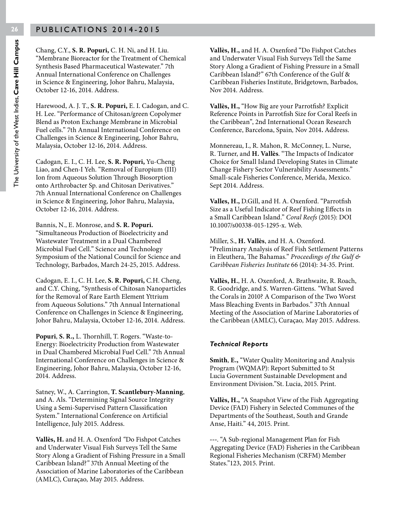Chang, C.Y., **S. R. Popuri,** C. H. Ni, and H. Liu. "Membrane Bioreactor for the Treatment of Chemical Synthesis Based Pharmaceutical Wastewater." 7th Annual International Conference on Challenges in Science & Engineering, Johor Bahru, Malaysia, October 12-16, 2014. Address.

Harewood, A. J. T., **S. R. Popuri,** E. I. Cadogan, and C. H. Lee. "Performance of Chitosan/green Copolymer Blend as Proton Exchange Membrane in Microbial Fuel cells." 7th Annual International Conference on Challenges in Science & Engineering, Johor Bahru, Malaysia, October 12-16, 2014. Address.

Cadogan, E. I., C. H. Lee, **S. R. Popuri,** Yu-Cheng Liao, and Chen-I Yeh. "Removal of Europium (III) Ion from Aqueous Solution Through Biosorption onto Arthrobacter Sp. and Chitosan Derivatives." 7th Annual International Conference on Challenges in Science & Engineering, Johor Bahru, Malaysia, October 12-16, 2014. Address.

Bannis, N., E. Monrose, and **S. R. Popuri.** "Simultaneous Production of Bioelectricity and Wastewater Treatment in a Dual Chambered Microbial Fuel Cell." Science and Technology Symposium of the National Council for Science and Technology, Barbados, March 24-25, 2015. Address.

Cadogan, E. I., C. H. Lee, **S. R. Popuri,** C.H. Cheng, and C.Y. Ching, "Synthesis of Chitosan Nanoparticles for the Removal of Rare Earth Element Yttrium from Aqueous Solutions." 7th Annual International Conference on Challenges in Science & Engineering, Johor Bahru, Malaysia, October 12-16, 2014. Address.

**Popuri**, **S. R.,** L. Thornhill, T. Rogers. "Waste-to-Energy: Bioelectricity Production from Wastewater in Dual Chambered Microbial Fuel Cell." 7th Annual International Conference on Challenges in Science & Engineering, Johor Bahru, Malaysia, October 12-16, 2014. Address.

Satney, W., A. Carrington, **T. Scantlebury-Manning**, and A. Als. "Determining Signal Source Integrity Using a Semi-Supervised Pattern Classification System." International Conference on Artificial Intelligence, July 2015. Address.

**Vallès, H.** and H. A. Oxenford *"*Do Fishpot Catches and Underwater Visual Fish Surveys Tell the Same Story Along a Gradient of Fishing Pressure in a Small Caribbean Island?*"* 37th Annual Meeting of the Association of Marine Laboratories of the Caribbean (AMLC), Curaçao*,* May 2015. Address.

**Vallès, H.,** and H. A. Oxenford "Do Fishpot Catches and Underwater Visual Fish Surveys Tell the Same Story Along a Gradient of Fishing Pressure in a Small Caribbean Island?" 67th Conference of the Gulf & Caribbean Fisheries Institute, Bridgetown, Barbados*,*  Nov 2014. Address.

**Vallès, H.,** "How Big are your Parrotfish? Explicit Reference Points in Parrotfish Size for Coral Reefs in the Caribbean", 2nd International Ocean Research Conference, Barcelona, Spain*,* Nov 2014**.** Address.

Monnereau, I., R. Mahon, R. McConney, L. Nurse, R. Turner, and **H. Vallès**. "The Impacts of Indicator Choice for Small Island Developing States in Climate Change Fishery Sector Vulnerability Assessments." Small-scale Fisheries Conference, Merida, Mexico. Sept 2014. Address.

**Valles, H.,** D.Gill, and H. A. Oxenford. "Parrotfish Size as a Useful Indicator of Reef Fishing Effects in a Small Caribbean Island." *Coral Reefs* (2015): DOI 10.1007/s00338-015-1295-x. Web.

Miller, S., **H. Vallès**, and H. A. Oxenford. "Preliminary Analysis of Reef Fish Settlement Patterns in Eleuthera, The Bahamas." *Proceedings of the Gulf & Caribbean Fisheries Institute* 66 (2014): 34-35. Print.

**Vallès, H.**, H. A. Oxenford, A. Brathwaite, R. Roach, R. Goodridge, and S. Warren-Gittens. *"*What Saved the Corals in 2010? A Comparison of the Two Worst Mass Bleaching Events in Barbados." 37th Annual Meeting of the Association of Marine Laboratories of the Caribbean (AMLC), Curaçao*,* May 2015. Address.

#### *Technical Reports*

**Smith**, **E.,** "Water Quality Monitoring and Analysis Program (WQMAP): Report Submitted to St Lucia Government Sustainable Development and Environment Division."St. Lucia, 2015. Print.

**Vallès, H.,** "A Snapshot View of the Fish Aggregating Device (FAD) Fishery in Selected Communes of the Departments of the Southeast, South and Grande Anse, Haiti." 44, 2015. Print.

**---**. "A Sub-regional Management Plan for Fish Aggregating Device (FAD) Fisheries in the Caribbean Regional Fisheries Mechanism (CRFM) Member States."123, 2015. Print.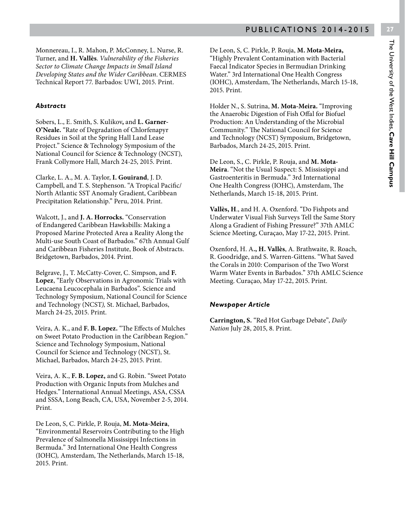Monnereau, I., R. Mahon, P. McConney, L. Nurse, R. Turner, and **H. Vallès**. *Vulnerability of the Fisheries Sector to Climate Change Impacts in Small Island Developing States and the Wider Caribbean*. CERMES Technical Report 77. Barbados: UWI, 2015. Print.

#### *Abstracts*

Sobers, L., E. Smith, S. Kulikov**,** and **L. Garner-O'Neale.** "Rate of Degradation of Chlorfenapyr Residues in Soil at the Spring Hall Land Lease Project." Science & Technology Symposium of the National Council for Science & Technology (NCST), Frank Collymore Hall, March 24-25, 2015. Print.

Clarke, L. A., M. A. Taylor, **I. Gouirand**, J. D. Campbell, and T. S. Stephenson. "A Tropical Pacific/ North Atlantic SST Anomaly Gradient, Caribbean Precipitation Relationship." Peru, 2014. Print.

Walcott, J., and **J. A. Horrocks.** "Conservation of Endangered Caribbean Hawksbills: Making a Proposed Marine Protected Area a Reality Along the Multi-use South Coast of Barbados." 67th Annual Gulf and Caribbean Fisheries Institute, Book of Abstracts. Bridgetown, Barbados, 2014. Print.

Belgrave, J., T. McCatty-Cover, C. Simpson, and **F. Lopez**, "Early Observations in Agronomic Trials with Leucaena Leucocephala in Barbados". Science and Technology Symposium, National Council for Science and Technology (NCST*),* St. Michael, Barbados, March 24-25, 2015. Print.

Veira, A. K., and **F. B. Lopez.** "The Effects of Mulches on Sweet Potato Production in the Caribbean Region." Science and Technology Symposium, National Council for Science and Technology (NCST), St. Michael, Barbados, March 24-25, 2015. Print.

Veira, A. K., **F. B. Lopez,** and G. Robin. "Sweet Potato Production with Organic Inputs from Mulches and Hedges." International Annual Meetings, ASA, CSSA and SSSA, Long Beach, CA, USA, November 2-5, 2014. Print.

De Leon, S, C. Pirkle, P. Rouja, **M. Mota-Meira**, "Environmental Reservoirs Contributing to the High Prevalence of Salmonella Mississippi Infections in Bermuda." 3rd International One Health Congress (IOHC)*,* Amsterdam, The Netherlands, March 15-18, 2015. Print.

De Leon, S, C. Pirkle, P. Rouja, **M. Mota-Meira,** "Highly Prevalent Contamination with Bacterial Faecal Indicator Species in Bermudian Drinking Water." 3rd International One Health Congress (IOHC), Amsterdam, The Netherlands, March 15-18, 2015. Print.

Holder N., S. Sutrina, **M. Mota-Meira.** "Improving the Anaerobic Digestion of Fish Offal for Biofuel Production: An Understanding of the Microbial Community." The National Council for Science and Technology (NCST) Symposium, Bridgetown, Barbados, March 24-25, 2015. Print.

De Leon, S., C. Pirkle, P. Rouja, and **M. Mota-Meira**. "Not the Usual Suspect: S. Mississippi and Gastroenteritis in Bermuda." 3rd International One Health Congress (IOHC), Amsterdam, The Netherlands, March 15-18, 2015. Print.

**Vallès, H**., and H. A. Oxenford. "Do Fishpots and Underwater Visual Fish Surveys Tell the Same Story Along a Gradient of Fishing Pressure?" 37th AMLC Science Meeting, Curaçao, May 17-22, 2015. Print.

Oxenford, H. A**., H. Vallès**, A. Brathwaite, R. Roach, R. Goodridge, and S. Warren-Gittens. "What Saved the Corals in 2010: Comparison of the Two Worst Warm Water Events in Barbados." 37th AMLC Science Meeting. Curaçao, May 17-22, 2015. Print.

#### *Newspaper Article*

**Carrington, S.** "Red Hot Garbage Debate", *Daily Nation* July 28, 2015, 8. Print.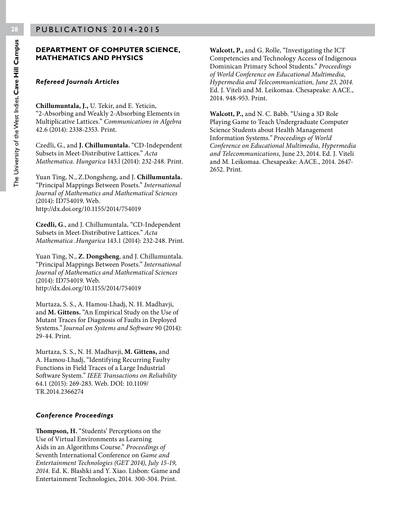#### **DEPARTMENT OF COMPUTER SCIENCE, MATHEMATICS AND PHYSICS**

#### *Refereed Journals Articles*

**Chillumuntala, J.,** U. Tekir, and E. Yeticin, "2-Absorbing and Weakly 2-Absorbing Elements in Multiplicative Lattices." *Communications in Algebra* 42.6 (2014): 2338-2353. Print.

Czedli, G., and **J. Chillumuntala.** "CD-Independent Subsets in Meet-Distributive Lattices." *Acta Mathematica. Hungarica* 143.l (2014): 232-248. Print.

Yuan Ting, N., Z.Dongsheng, and J. **Chillumuntala.** "Principal Mappings Between Posets." *International Journal of Mathematics and Mathematical Sciences* (2014): ID754019. Web. http://dx.doi.org/10.1155/2014/754019

**Czedli, G**., and J. Chillumuntala**.** "CD-Independent Subsets in Meet-Distributive Lattices." *Acta Mathematica .Hungarica* 143.1 (2014): 232-248. Print.

Yuan Ting, N., **Z. Dongsheng**, and J. Chillumuntala. "Principal Mappings Between Posets." *International Journal of Mathematics and Mathematical Sciences* (2014): ID754019. Web. http://dx.doi.org/10.1155/2014/754019

Murtaza, S. S., A. Hamou-Lhadj, N. H. Madhavji, and **M. Gittens.** "An Empirical Study on the Use of Mutant Traces for Diagnosis of Faults in Deployed Systems.*" Journal on Systems and Software* 90 (2014): 29-44. Print.

Murtaza, S. S., N. H. Madhavji, **M. Gittens,** and A. Hamou-Lhadj, "Identifying Recurring Faulty Functions in Field Traces of a Large Industrial Software System." *IEEE Transactions on Reliability* 64.1 (2015): 269-283. Web. DOI: 10.1109/ TR.2014.2366274

#### *Conference Proceedings*

**Thompson, H.** "Students' Perceptions on the Use of Virtual Environments as Learning Aids in an Algorithms Course." *Proceedings of* Seventh International Conference on *Game and Entertainment Technologies (GET 2014), July 15-19, 2014.* Ed. K. Blashki and Y. Xiao. Lisbon: Game and Entertainment Technologies, 2014*.* 300-304. Print.

**Walcott, P.,** and G. Rolle, "Investigating the ICT Competencies and Technology Access of Indigenous Dominican Primary School Students." *Proceedings of World Conference on Educational Multimedia, Hypermedia and Telecommunication, June 23, 2014.* Ed. J. Viteli and M. Leikomaa. Chesapeake: AACE., 2014. 948-953. Print.

**Walcott, P.,** and N. C. Babb. "Using a 3D Role Playing Game to Teach Undergraduate Computer Science Students about Health Management Information Systems.*" Proceedings of World Conference on Educational Multimedia, Hypermedia and Telecommunications,* June 23, 2014. Ed. J. Viteli and M. Leikomaa. Chesapeake: AACE., 2014. 2647- 2652. Print.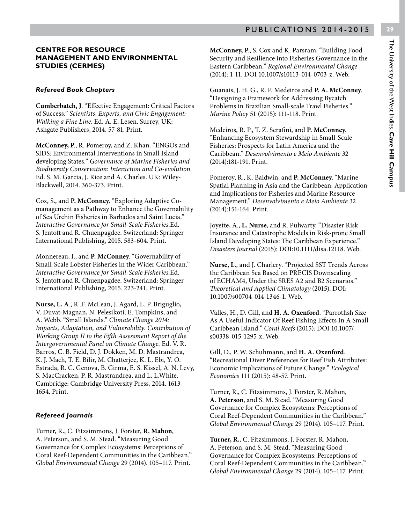# The University of the West Indies, Cave Hill Campus The University of the West Indies, **Cave Hill Campus**

#### **CENTRE FOR RESOURCE MANAGEMENT AND ENVIRONMENTAL STUDIES (CERMES)**

#### *Refereed Book Chapters*

**Cumberbatch, J**. "Effective Engagement: Critical Factors of Success." *Scientists, Experts, and Civic Engagement: Walking a Fine Line*. Ed. A. E. Lesen. Surrey, UK: Ashgate Publishers, 2014. 57-81. Print.

**McConney, P**., R. Pomeroy, and Z. Khan. "ENGOs and SIDS: Environmental Interventions in Small Island developing States." *Governance of Marine Fisheries and Biodiversity Conservation: Interaction and Co-evolution.*  Ed. S. M. Garcia, J. Rice and A. Charles. UK: Wiley-Blackwell, 2014. 360-373. Print.

Cox, S., and **P. McConney**. "Exploring Adaptive Comanagement as a Pathway to Enhance the Governability of Sea Urchin Fisheries in Barbados and Saint Lucia." *Interactive Governance for Small-Scale Fisheries.*Ed. S. Jentoft and R. Chuenpagdee. Switzerland: Springer International Publishing, 2015. 583-604. Print.

Monnereau, I., and **P. McConney**. "Governability of Small-Scale Lobster Fisheries in the Wider Caribbean." *Interactive Governance for Small-Scale Fisheries.*Ed. S. Jentoft and R. Chuenpagdee. Switzerland: Springer International Publishing, 2015. 223-241. Print.

**Nurse, L. A**., R .F. McLean, J. Agard, L. P. Briguglio, V. Duvat-Magnan, N. Pelesikoti, E. Tompkins, and A. Webb. "Small Islands." *Climate Change 2014: Impacts, Adaptation, and Vulnerability. Contribution of Working Group II to the Fifth Assessment Report of the Intergovernmental Panel on Climate Change.* Ed. V. R**.**  Barros, C. B. Field, D. J. Dokken, M. D. Mastrandrea, K. J. Mach, T. E. Bilir, M. Chatterjee, K. L. Ebi, Y. O. Estrada, R. C. Genova, B. Girma, E. S. Kissel, A. N. Levy, S. MacCracken, P. R. Mastrandrea, and L. L.White. Cambridge: Cambridge University Press, 2014. 1613- 1654. Print.

#### *Refereed Journals*

Turner, R**.**, C. Fitzsimmons, J. Forster, **R. Mahon**, A. Peterson, and S. M. Stead. "Measuring Good Governance for Complex Ecosystems: Perceptions of Coral Reef-Dependent Communities in the Caribbean." *Global Environmental Change* 29 (2014). 105–117. Print.

**McConney, P**., S. Cox and K. Parsram. "Building Food Security and Resilience into Fisheries Governance in the Eastern Caribbean." *Regional Environmental Change* (2014): 1-11. DOI 10.1007/s10113-014-0703-z. Web.

Guanais, J. H. G., R. P. Medeiros and **P. A. McConney**. "Designing a Framework for Addressing Bycatch Problems in Brazilian Small-scale Trawl Fisheries." *Marine Policy* 51 (2015): 111-118. Print.

Medeiros, R. P., T. Z. Serafini, and **P. McConney**. "Enhancing Ecosystem Stewardship in Small-Scale Fisheries: Prospects for Latin America and the Caribbean." *Desenvolvimento e Meio Ambiente* 32 (2014):181-191. Print.

Pomeroy, R., K. Baldwin, and **P. McConney**. "Marine Spatial Planning in Asia and the Caribbean: Application and Implications for Fisheries and Marine Resource Management." *Desenvolvimento e Meio Ambiente* 32 (2014):151-164. Print.

Joyette, A., **L. Nurse**, and R. Pulwarty. "Disaster Risk Insurance and Catastrophe Models in Risk-prone Small Island Developing States: The Caribbean Experience." *Disasters Journal* (2015): DOI:10.1111/disa.12118. Web.

**Nurse, L**., and J. Charlery. "Projected SST Trends Across the Caribbean Sea Based on PRECIS Downscaling of ECHAM4, Under the SRES A2 and B2 Scenarios." *Theoretical and Applied Climatology* (2015). DOI: 10.1007/s00704-014-1346-1. Web.

Valles, H., D. Gill, and **H. A. Oxenford**. "Parrotfish Size As A Useful Indicator Of Reef Fishing Effects In A Small Caribbean Island." *Coral Reefs* (2015): DOI 10.1007/ s00338-015-1295-x. Web.

Gill, D., P. W. Schuhmann, and **H. A. Oxenford**. "Recreational Diver Preferences for Reef Fish Attributes: Economic Implications of Future Change." *Ecological Economics* 111 (2015): 48-57. Print.

Turner, R., C. Fitzsimmons, J. Forster, R. Mahon, **A. Peterson**, and S. M. Stead. "Measuring Good Governance for Complex Ecosystems: Perceptions of Coral Reef-Dependent Communities in the Caribbean." *Global Environmental Change* 29 (2014). 105–117. Print.

**Turner, R.**, C. Fitzsimmons, J. Forster, R. Mahon, A. Peterson, and S. M. Stead. "Measuring Good Governance for Complex Ecosystems: Perceptions of Coral Reef-Dependent Communities in the Caribbean." *Global Environmental Change* 29 (2014). 105–117. Print.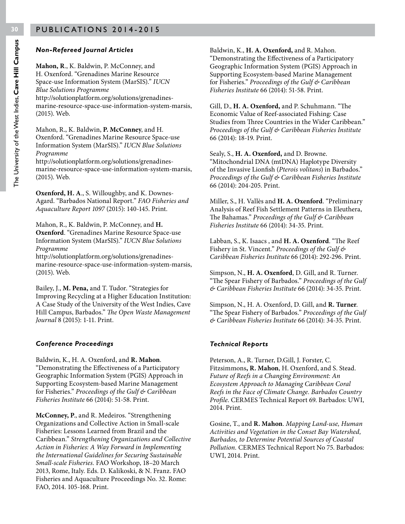#### *Non-Refereed Journal Articles*

**Mahon, R**., K. Baldwin, P. McConney, and H. Oxenford. "Grenadines Marine Resource Space-use Information System (MarSIS)." *IUCN Blue Solutions Programme*  http://solutionplatform.org/solutions/grenadinesmarine-resource-space-use-information-system-marsis, (2015). Web.

Mahon, R., K. Baldwin, **P. McConney**, and H. Oxenford. "Grenadines Marine Resource Space-use Information System (MarSIS)." *IUCN Blue Solutions Programme* 

http://solutionplatform.org/solutions/grenadinesmarine-resource-space-use-information-system-marsis, (2015). Web.

**Oxenford, H. A**., S. Willoughby, and K. Downes-Agard. "Barbados National Report." *FAO Fisheries and Aquaculture Report 1097* (2015): 140-145. Print.

Mahon, R., K. Baldwin, P. McConney, and **H. Oxenford**. "Grenadines Marine Resource Space-use Information System (MarSIS)." *IUCN Blue Solutions Programme* 

http://solutionplatform.org/solutions/grenadinesmarine-resource-space-use-information-system-marsis, (2015). Web.

Bailey, J., **M. Pena,** and T. Tudor. "Strategies for Improving Recycling at a Higher Education Institution: A Case Study of the University of the West Indies, Cave Hill Campus, Barbados." *The Open Waste Management Journal* 8 (2015): 1-11. Print.

#### *Conference Proceedings*

Baldwin, K., H. A. Oxenford, and **R. Mahon**. "Demonstrating the Effectiveness of a Participatory Geographic Information System (PGIS) Approach in Supporting Ecosystem-based Marine Management for Fisheries." *Proceedings of the Gulf & Caribbean Fisheries Institute* 66 (2014): 51-58. Print.

**McConney, P**., and R. Medeiros. "Strengthening Organizations and Collective Action in Small-scale Fisheries: Lessons Learned from Brazil and the Caribbean." *Strengthening Organizations and Collective Action in Fisheries: A Way Forward in Implementing the International Guidelines for Securing Sustainable Small-scale Fisheries.* FAO Workshop, 18–20 March 2013, Rome, Italy. Eds. D. Kalikoski, & N. Franz. FAO Fisheries and Aquaculture Proceedings No. 32. Rome: FAO, 2014. 105-168. Print.

Baldwin, K., **H. A. Oxenford,** and R. Mahon. "Demonstrating the Effectiveness of a Participatory Geographic Information System (PGIS) Approach in Supporting Ecosystem-based Marine Management for Fisheries." *Proceedings of the Gulf & Caribbean Fisheries Institute* 66 (2014): 51-58. Print.

Gill, D., **H. A. Oxenford,** and P. Schuhmann. "The Economic Value of Reef-associated Fishing: Case Studies from Three Countries in the Wider Caribbean." *Proceedings of the Gulf & Caribbean Fisheries Institute*  66 (2014): 18-19. Print.

Sealy, S., **H. A. Oxenford,** and D. Browne. "Mitochondrial DNA (mtDNA) Haplotype Diversity of the Invasive Lionfish (*Pterois volitans*) in Barbados." *Proceedings of the Gulf & Caribbean Fisheries Institute* 66 (2014): 204-205. Print.

Miller, S., H. Vallès and **H. A. Oxenford**. "Preliminary Analysis of Reef Fish Settlement Patterns in Eleuthera, The Bahamas." *Proceedings of the Gulf & Caribbean Fisheries Institute* 66 (2014): 34-35. Print.

Labban, S., K. Isaacs , and **H. A. Oxenford**. "The Reef Fishery in St. Vincent." *Proceedings of the Gulf & Caribbean Fisheries Institute* 66 (2014): 292-296. Print.

Simpson, N., **H. A. Oxenford**, D. Gill, and R. Turner. "The Spear Fishery of Barbados." *Proceedings of the Gulf & Caribbean Fisheries Institute* 66 (2014): 34-35. Print.

Simpson, N., H. A. Oxenford, D. Gill, and **R. Turner**. "The Spear Fishery of Barbados." *Proceedings of the Gulf & Caribbean Fisheries Institute* 66 (2014): 34-35. Print.

#### *Technical Reports*

Peterson, A., R. Turner, D.Gill, J. Forster, C. Fitzsimmons**, R. Mahon**, H. Oxenford, and S. Stead. *Future of Reefs in a Changing Environment: An Ecosystem Approach to Managing Caribbean Coral Reefs in the Face of Climate Change. Barbados Country Profile*. CERMES Technical Report 69. Barbados: UWI, 2014. Print.

Gosine, T., and **R. Mahon**. *Mapping Land-use, Human Activities and Vegetation in the Conset Bay Watershed, Barbados, to Determine Potential Sources of Coastal Pollution.* CERMES Technical Report No 75. Barbados: UWI, 2014. Print.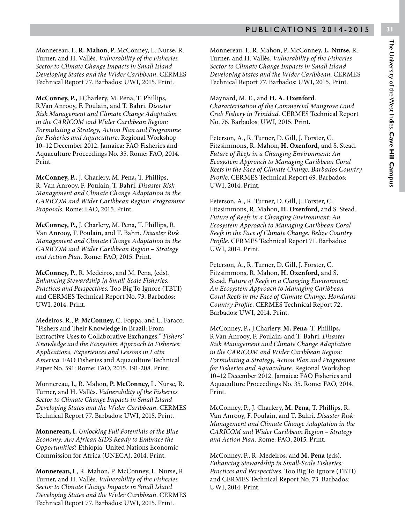Monnereau, I., **R. Mahon**, P. McConney, L. Nurse, R. Turner, and H. Vallès. *Vulnerability of the Fisheries Sector to Climate Change Impacts in Small Island Developing States and the Wider Caribbean*. CERMES Technical Report 77. Barbados: UWI, 2015. Print.

**McConney, P.,** J.Charlery, M. Pena, T. Phillips, R.Van Anrooy, F. Poulain, and T. Bahri. *Disaster Risk Management and Climate Change Adaptation in the CARICOM and Wider Caribbean Region: Formulating a Strategy, Action Plan and Programme for Fisheries and Aquaculture.* Regional Workshop 10–12 December 2012. Jamaica: FAO Fisheries and Aquaculture Proceedings No. 35. Rome: FAO, 2014. Print.

**McConney, P.**, J. Charlery, M. Pena**,** T. Phillips, R. Van Anrooy, F. Poulain, T. Bahri. *Disaster Risk Management and Climate Change Adaptation in the CARICOM and Wider Caribbean Region: Programme Proposals.* Rome: FAO, 2015. Print.

**McConney, P.**, J. Charlery, M. Pena, T. Phillips, R. Van Anrooy, F. Poulain, and T. Bahri. *Disaster Risk Management and Climate Change Adaptation in the CARICOM and Wider Caribbean Region – Strategy and Action Plan.* Rome: FAO, 2015. Print.

**McConney, P**., R. Medeiros, and M. Pena, **(**eds). *Enhancing Stewardship in Small-Scale Fisheries: Practices and Perspectives.* Too Big To Ignore (TBTI) and CERMES Technical Report No. 73. Barbados: UWI, 2014. Print.

Medeiros, R., **P. McConney**, C. Foppa, and L. Faraco. "Fishers and Their Knowledge in Brazil: From Extractive Uses to Collaborative Exchanges." *Fishers' Knowledge and the Ecosystem Approach to Fisheries: Applications, Experiences and Lessons in Latin America.* FAO Fisheries and Aquaculture Technical Paper No. 591: Rome: FAO, 2015. 191-208. Print.

Monnereau, I., R. Mahon, **P. McConney**, L. Nurse, R. Turner, and H. Vallès. *Vulnerability of the Fisheries Sector to Climate Change Impacts in Small Island Developing States and the Wider Caribbean*. CERMES Technical Report 77. Barbados: UWI, 2015. Print.

**Monnereau, I.** *Unlocking Full Potentials of the Blue Economy: Are African SIDS Ready to Embrace the Opportunities*? Ethiopia: United Nations Economic Commission for Africa (UNECA), 2014. Print.

**Monnereau, I**., R. Mahon, P. McConney, L. Nurse, R. Turner, and H. Vallès. *Vulnerability of the Fisheries Sector to Climate Change Impacts in Small Island Developing States and the Wider Caribbean*. CERMES Technical Report 77. Barbados: UWI, 2015. Print.

Monnereau, I., R. Mahon, P. McConney, **L. Nurse**, R. Turner, and H. Vallès. *Vulnerability of the Fisheries Sector to Climate Change Impacts in Small Island Developing States and the Wider Caribbean*. CERMES Technical Report 77. Barbados: UWI, 2015. Print.

#### Maynard, M. E., and **H. A. Oxenford**.

*Characterisation of the Commercial Mangrove Land Crab Fishery in Trinidad.* CERMES Technical Report No. 76. Barbados: UWI, 2015. Print.

Peterson, A., R. Turner, D. Gill, J. Forster, C. Fitzsimmons**,** R. Mahon, **H. Oxenford,** and S. Stead. *Future of Reefs in a Changing Environment: An Ecosystem Approach to Managing Caribbean Coral Reefs in the Face of Climate Change. Barbados Country Profile*. CERMES Technical Report 69. Barbados: UWI, 2014. Print.

Peterson, A., R. Turner, D. Gill, J. Forster, C. Fitzsimmons, R. Mahon, **H. Oxenford**, and S. Stead. *Future of Reefs in a Changing Environment: An Ecosystem Approach to Managing Caribbean Coral Reefs in the Face of Climate Change. Belize Country Profile*. CERMES Technical Report 71. Barbados: UWI, 2014. Print.

Peterson, A., R. Turner, D. Gill, J. Forster, C. Fitzsimmons, R. Mahon, **H. Oxenford,** and S. Stead. *Future of Reefs in a Changing Environment: An Ecosystem Approach to Managing Caribbean Coral Reefs in the Face of Climate Change. Honduras Country Profile*. CERMES Technical Report 72. Barbados: UWI, 2014. Print.

McConney, P**.,** J.Charlery, **M. Pena**, T. Phillips, R.Van Anrooy, F. Poulain, and T. Bahri. *Disaster Risk Management and Climate Change Adaptation in the CARICOM and Wider Caribbean Region: Formulating a Strategy, Action Plan and Programme for Fisheries and Aquaculture.* Regional Workshop 10–12 December 2012. Jamaica: FAO Fisheries and Aquaculture Proceedings No. 35. Rome: FAO, 2014. Print.

McConney, P**.**, J. Charlery, **M. Pena,** T. Phillips, R. Van Anrooy, F. Poulain, and T. Bahri. *Disaster Risk Management and Climate Change Adaptation in the CARICOM and Wider Caribbean Region – Strategy and Action Plan.* Rome: FAO, 2015. Print.

McConney, P., R. Medeiros, and **M. Pena (**eds). *Enhancing Stewardship in Small-Scale Fisheries: Practices and Perspectives.* Too Big To Ignore (TBTI) and CERMES Technical Report No. 73. Barbados: UWI, 2014. Print.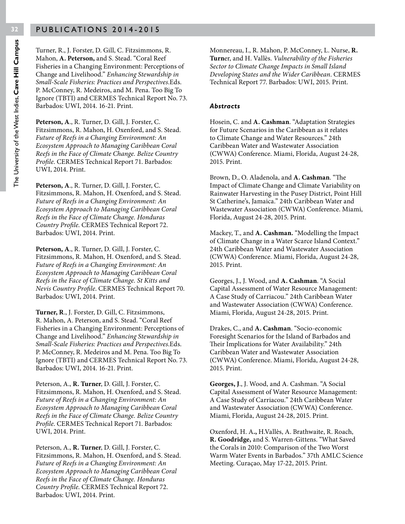Turner, R., J. Forster, D. Gill, C. Fitzsimmons, R. Mahon, **A. Peterson,** and S. Stead. "Coral Reef Fisheries in a Changing Environment: Perceptions of Change and Livelihood." *Enhancing Stewardship in Small-Scale Fisheries: Practices and Perspectives.*Eds. P. McConney, R. Medeiros, and M. Pena. Too Big To Ignore (TBTI) and CERMES Technical Report No. 73. Barbados: UWI, 2014. 16-21. Print.

**Peterson, A**., R. Turner, D. Gill, J. Forster, C. Fitzsimmons, R. Mahon, H. Oxenford, and S. Stead. *Future of Reefs in a Changing Environment: An Ecosystem Approach to Managing Caribbean Coral Reefs in the Face of Climate Change. Belize Country Profile*. CERMES Technical Report 71. Barbados: UWI, 2014. Print.

**Peterson, A**., R. Turner, D. Gill, J. Forster, C. Fitzsimmons, R. Mahon, H. Oxenford, and S. Stead. *Future of Reefs in a Changing Environment: An Ecosystem Approach to Managing Caribbean Coral Reefs in the Face of Climate Change. Honduras Country Profile*. CERMES Technical Report 72. Barbados: UWI, 2014. Print.

**Peterson, A**., R. Turner, D. Gill, J. Forster, C. Fitzsimmons, R. Mahon, H. Oxenford, and S. Stead. *Future of Reefs in a Changing Environment: An Ecosystem Approach to Managing Caribbean Coral Reefs in the Face of Climate Change. St Kitts and Nevis Country Profile*. CERMES Technical Report 70. Barbados: UWI, 2014. Print.

**Turner, R**., J. Forster, D. Gill, C. Fitzsimmons, R. Mahon, A. Peterson, and S. Stead. "Coral Reef Fisheries in a Changing Environment: Perceptions of Change and Livelihood." *Enhancing Stewardship in Small-Scale Fisheries: Practices and Perspectives.*Eds. P. McConney, R. Medeiros and M. Pena. Too Big To Ignore (TBTI) and CERMES Technical Report No. 73. Barbados: UWI, 2014. 16-21. Print.

Peterson, A., **R. Turner**, D. Gill, J. Forster, C. Fitzsimmons, R. Mahon, H. Oxenford, and S. Stead. *Future of Reefs in a Changing Environment: An Ecosystem Approach to Managing Caribbean Coral Reefs in the Face of Climate Change. Belize Country Profile*. CERMES Technical Report 71. Barbados: UWI, 2014. Print.

Peterson, A., **R. Turner**, D. Gill, J. Forster, C. Fitzsimmons, R. Mahon, H. Oxenford, and S. Stead. *Future of Reefs in a Changing Environment: An Ecosystem Approach to Managing Caribbean Coral Reefs in the Face of Climate Change. Honduras Country Profile*. CERMES Technical Report 72. Barbados: UWI, 2014. Print.

Monnereau, I., R. Mahon, P. McConney, L. Nurse, **R. Turn**er, and H. Vallès. *Vulnerability of the Fisheries Sector to Climate Change Impacts in Small Island Developing States and the Wider Caribbean*. CERMES Technical Report 77. Barbados: UWI, 2015. Print.

#### *Abstracts*

Hosein, C. and **A. Cashman**. "Adaptation Strategies for Future Scenarios in the Caribbean as it relates to Climate Change and Water Resources." 24th Caribbean Water and Wastewater Association (CWWA) Conference. Miami, Florida, August 24-28, 2015. Print.

Brown, D., O. Aladenola, and **A. Cashman**. "The Impact of Climate Change and Climate Variability on Rainwater Harvesting in the Pusey District, Point Hill St Catherine's, Jamaica." 24th Caribbean Water and Wastewater Association (CWWA) Conference. Miami, Florida, August 24-28, 2015. Print.

Mackey, T., and **A. Cashman.** "Modelling the Impact of Climate Change in a Water Scarce Island Context." 24th Caribbean Water and Wastewater Association (CWWA) Conference. Miami, Florida, August 24-28, 2015. Print.

Georges, J., J. Wood, and **A. Cashman**. "A Social Capital Assessment of Water Resource Management: A Case Study of Carriacou." 24th Caribbean Water and Wastewater Association (CWWA) Conference. Miami, Florida, August 24-28, 2015. Print.

Drakes, C., and **A. Cashman**. "Socio-economic Foresight Scenarios for the Island of Barbados and Their Implications for Water Availability." 24th Caribbean Water and Wastewater Association (CWWA) Conference. Miami, Florida, August 24-28, 2015. Print.

**Georges, J**., J. Wood, and A. Cashman. "A Social Capital Assessment of Water Resource Management: A Case Study of Carriacou." 24th Caribbean Water and Wastewater Association (CWWA) Conference. Miami, Florida, August 24-28, 2015. Print.

Oxenford, H. A**.,** H.Vallès, A. Brathwaite, R. Roach, **R. Goodridge,** and S. Warren-Gittens. "What Saved the Corals in 2010: Comparison of the Two Worst Warm Water Events in Barbados." 37th AMLC Science Meeting. Curaçao, May 17-22, 2015. Print.

**32**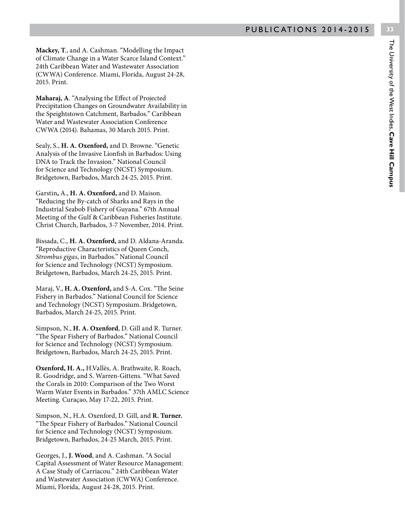**Mackey, T**., and A. Cashman. "Modelling the Impact of Climate Change in a Water Scarce Island Context." 24th Caribbean Water and Wastewater Association (CWWA) Conference. Miami, Florida, August 24-28, 2015. Print.

**Maharaj, A**. "Analysing the Effect of Projected Precipitation Changes on Groundwater Availability in the Speightstown Catchment, Barbados." Caribbean Water and Wastewater Association Conference CWWA (2014). Bahamas, 30 March 2015. Print.

Sealy, S., **H. A. Oxenford,** and D. Browne. "Genetic Analysis of the Invasive Lionfish in Barbados: Using DNA to Track the Invasion." National Council for Science and Technology (NCST) Symposium. Bridgetown, Barbados, March 24-25, 2015. Print.

Garstin**,** A., **H. A. Oxenford,** and D. Maison. "Reducing the By-catch of Sharks and Rays in the Industrial Seabob Fishery of Guyana." 67th Annual Meeting of the Gulf & Caribbean Fisheries Institute. Christ Church, Barbados, 3-7 November, 2014. Print.

Bissada, C., **H. A. Oxenford,** and D. Aldana-Aranda. "Reproductive Characteristics of Queen Conch, *Strombus gigas*, in Barbados." National Council for Science and Technology (NCST) Symposium. Bridgetown, Barbados, March 24-25, 2015. Print.

Maraj, V., **H. A. Oxenford,** and S-A. Cox. "The Seine Fishery in Barbados." National Council for Science and Technology (NCST) Symposium. Bridgetown, Barbados, March 24-25, 2015. Print.

Simpson, N., **H. A. Oxenford**, D. Gill and R. Turner. "The Spear Fishery of Barbados." National Council for Science and Technology (NCST) Symposium. Bridgetown, Barbados, March 24-25, 2015. Print.

**Oxenford, H. A.,** H.Vallès, A. Brathwaite, R. Roach, R. Goodridge, and S. Warren-Gittens. "What Saved the Corals in 2010: Comparison of the Two Worst Warm Water Events in Barbados." 37th AMLC Science Meeting. Curaçao, May 17-22, 2015. Print.

Simpson, N., H.A. Oxenford, D. Gill, and **R. Turner.** "The Spear Fishery of Barbados." National Council for Science and Technology (NCST) Symposium. Bridgetown, Barbados, 24-25 March, 2015. Print.

Georges, J., **J. Wood**, and A. Cashman. "A Social Capital Assessment of Water Resource Management: A Case Study of Carriacou." 24th Caribbean Water and Wastewater Association (CWWA) Conference. Miami, Florida, August 24-28, 2015. Print.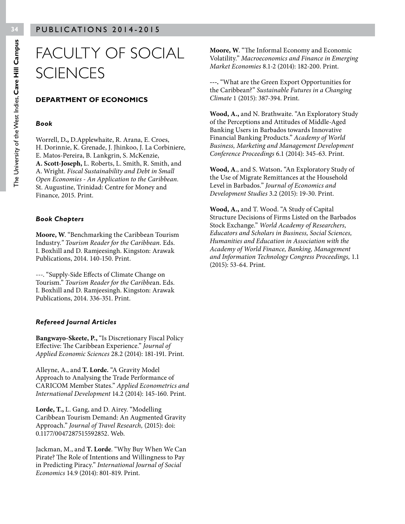## FACULTY OF SOCIAL **SCIENCES**

#### **DEPARTMENT OF ECONOMICS**

#### *Book*

Worrell, D**.,** D.Applewhaite, R. Arana, E. Croes, H. Dorinnie, K. Grenade, J. Jhinkoo, J. La Corbiniere, E. Matos-Pereira, B. Lankgrin, S. McKenzie, **A. Scott-Joseph,** L. Roberts, L. Smith, R. Smith, and A. Wright. *Fiscal Sustainability and Debt in Small Open Economies - An Application to the Caribbean.*  St. Augustine, Trinidad: Centre for Money and Finance*,* 2015. Print.

#### *Book Chapters*

**Moore, W**. "Benchmarking the Caribbean Tourism Industry*." Tourism Reader for the Caribbean.* Eds. I. Boxhill and D. Ramjeesingh. Kingston: Arawak Publications, 2014. 140-150. Print.

---. "Supply-Side Effects of Climate Change on Tourism." *Tourism Reader for the Caribbe*an. Eds. I. Boxhill and D. Ramjeesingh. Kingston: Arawak Publications, 2014. 336-351. Print.

#### *Refereed Journal Articles*

**Bangwayo-Skeete, P.,** "Is Discretionary Fiscal Policy Effective: The Caribbean Experience." *Journal of Applied Economic Sciences* 28.2 (2014): 181-191. Print.

Alleyne, A., and **T. Lorde.** "A Gravity Model Approach to Analysing the Trade Performance of CARICOM Member States." *Applied Econometrics and International Development* 14.2 (2014): 145-160. Print.

**Lorde, T.,** L. Gang, and D. Airey. "Modelling Caribbean Tourism Demand: An Augmented Gravity Approach." *Journal of Travel Research,* (2015): doi: 0.1177/0047287515592852. Web.

Jackman, M., and **T. Lorde**. "Why Buy When We Can Pirate? The Role of Intentions and Willingness to Pay in Predicting Piracy." *International Journal of Social Economics* 14.9 (2014): 801-819. Print.

**Moore, W**. "The Informal Economy and Economic Volatility." *Macroeconomics and Finance in Emerging Market Economies* 8.1-2 (2014): 182-200. Print.

**---.** "What are the Green Export Opportunities for the Caribbean?" *Sustainable Futures in a Changing Climate* 1 (2015): 387-394. Print.

**Wood, A.,** and N. Brathwaite. "An Exploratory Study of the Perceptions and Attitudes of Middle-Aged Banking Users in Barbados towards Innovative Financial Banking Products." *Academy of World Business, Marketing and Management Development Conference Proceedings* 6.1 (2014): 345-63. Print.

**Wood, A**., and S. Watson**.** "An Exploratory Study of the Use of Migrate Remittances at the Household Level in Barbados." *Journal of Economics and Development Studies* 3.2 (2015): 19-30. Print.

**Wood, A.,** and T. Wood. "A Study of Capital Structure Decisions of Firms Listed on the Barbados Stock Exchange." *World Academy of Researchers, Educators and Scholars in Business, Social Sciences, Humanities and Education in Association with the Academy of World Finance, Banking, Management and Information Technology Congress Proceedings,* 1.1 (2015): 53-64. Print.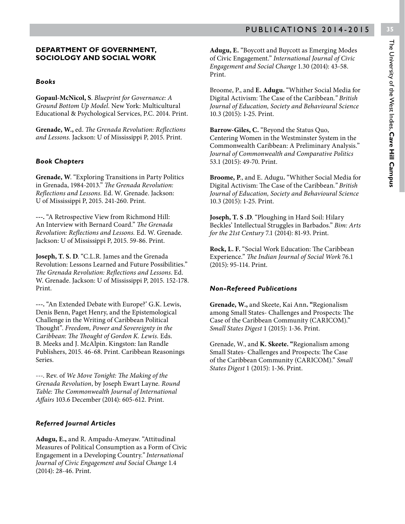#### **DEPARTMENT OF GOVERNMENT, SOCIOLOGY AND SOCIAL WORK**

#### *Books*

**Gopaul-McNicol, S**. *Blueprint for Governance: A Ground Bottom Up Model.* New York: Multicultural Educational & Psychological Services, P.C. 2014. Print.

**Grenade, W.,** ed. *The Grenada Revolution: Reflections and Lessons.* Jackson: U of Mississippi P, 2015. Print.

#### *Book Chapters*

**Grenade, W**. "Exploring Transitions in Party Politics in Grenada, 1984-2013." *The Grenada Revolution: Reflections and Lessons.* Ed. W. Grenade. Jackson: U of Mississippi P, 2015. 241-260. Print.

**---.** "A Retrospective View from Richmond Hill: An Interview with Bernard Coard." *The Grenada Revolution: Reflections and Lessons.* Ed. W. Grenade. Jackson: U of Mississippi P, 2015. 59-86. Print.

**Joseph, T. S. D**. "C.L.R. James and the Grenada Revolution: Lessons Learned and Future Possibilities." *The Grenada Revolution: Reflections and Lessons*. Ed. W. Grenade. Jackson: U of Mississippi P, 2015. 152-178. Print.

**---.** "An Extended Debate with Europe?' G.K. Lewis, Denis Benn, Paget Henry, and the Epistemological Challenge in the Writing of Caribbean Political Thought". *Freedom, Power and Sovereignty in the Caribbean*: *The Thought of Gordon K. Lewis.* Eds. B. Meeks and J. McAlpin. Kingston: Ian Randle Publishers, 2015. 46-68. Print. Caribbean Reasonings Series.

---. Rev. of *We Move Tonight: The Making of the Grenada Revolution*, by Joseph Ewart Layne*. Round Table: The Commonwealth Journal of International Affairs* 103.6 December (2014): 605-612. Print.

#### *Referred Journal Articles*

**Adugu, E.,** and R. Ampadu-Ameyaw. "Attitudinal Measures of Political Consumption as a Form of Civic Engagement in a Developing Country.*" International Journal of Civic Engagement and Social Change* 1.4 (2014): 28-46. Print.

**Adugu, E.** "Boycott and Buycott as Emerging Modes of Civic Engagement." *International Journal of Civic Engagement and Social Change* 1.30 (2014): 43-58. Print.

Broome, P., and **E. Adugu.** "Whither Social Media for Digital Activism: The Case of the Caribbean*." British Journal of Education, Society and Behavioural Science* 10.3 (2015): 1-25. Print.

**Barrow-Giles, C.** "Beyond the Status Quo, Centering Women in the Westminster System in the Commonwealth Caribbean: A Preliminary Analysis." *Journal of Commonwealth and Comparative Politics* 53.1 (2015): 49-70. Print.

**Broome, P**., and E. Adugu**.** "Whither Social Media for Digital Activism: The Case of the Caribbean*." British Journal of Education, Society and Behavioural Science* 10.3 (2015): 1-25. Print.

**Joseph, T. S .D**. "Ploughing in Hard Soil: Hilary Beckles' Intellectual Struggles in Barbados." *Bim: Arts for the 21st Century* 7.1 (2014): 81-93. Print.

**Rock, L. F.** "Social Work Education: The Caribbean Experience." *The Indian Journal of Social Work* 76.1 (2015): 95-114. Print.

#### *Non-Refereed Publications*

**Grenade, W.,** and Skeete, Kai Ann**. "**Regionalism among Small States- Challenges and Prospects: The Case of the Caribbean Community (CARICOM)." *Small States Digest* 1 (2015): 1-36. Print.

Grenade, W., and **K. Skeete. "**Regionalism among Small States- Challenges and Prospects: The Case of the Caribbean Community (CARICOM)." *Small States Digest* 1 (2015): 1-36. Print.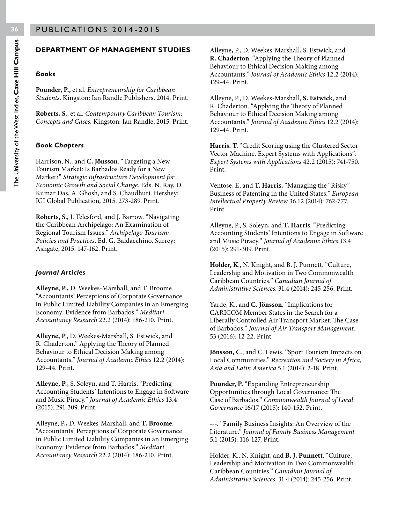#### **DEPARTMENT OF MANAGEMENT STUDIES**

#### *Books*

**Pounder, P.,** et al. *Entrepreneurship for Caribbean Students*. Kingston: Ian Randle Publishers, 2014. Print.

**Roberts, S**., et al. *Contemporary Caribbean Tourism: Concepts and Cases.* Kingston: Ian Randle, 2015. Print.

#### *Book Chapters*

Harrison, N., and **C. Jönsson**. "Targeting a New Tourism Market: Is Barbados Ready for a New Market?" *Strategic Infrastructure Development for Economic Growth and Social Change*. Eds. N. Ray, D. Kumar Das, A. Ghosh, and S. Chaudhuri. Hershey: IGI Global Publication, 2015. 273-289. Print.

**Roberts, S**., J. Telesford, and J. Barrow. "Navigating the Caribbean Archipelago: An Examination of Regional Tourism Issues." *Archipelago Tourism: Policies and Practices*. Ed. G. Baldacchino. Surrey: Ashgate, 2015. 147-162. Print.

#### *Journal Articles*

**Alleyne, P.,** D. Weekes-Marshall, and T. Broome. "Accountants' Perceptions of Corporate Governance in Public Limited Liability Companies in an Emerging Economy: Evidence from Barbados." *Meditari Accountancy Research* 22.2 (2014): 186-210. Print.

**Alleyne, P**., D. Weekes-Marshall, S. Estwick, and R. Chaderton," Applying the Theory of Planned Behaviour to Ethical Decision Making among Accountants." *Journal of Academic Ethics* 12.2 (2014): 129-44. Print.

**Alleyne, P.,** S. Soleyn, and T. Harris, "Predicting Accounting Students' Intentions to Engage in Software and Music Piracy." *Journal of Academic Ethics* 13.4 (2015): 291-309. Print.

Alleyne, P**.,** D. Weekes-Marshall, and **T. Broome**. "Accountants' Perceptions of Corporate Governance in Public Limited Liability Companies in an Emerging Economy: Evidence from Barbados." *Meditari Accountancy Research* 22.2 (2014): 186-210. Print.

Alleyne**,** P., D. Weekes-Marshall, S. Estwick, and **R. Chaderton**. "Applying the Theory of Planned Behaviour to Ethical Decision Making among Accountants." *Journal of Academic Ethics* 12.2 (2014): 129-44. Print.

Alleyne, P., D. Weekes-Marshall, **S. Estwick**, and R. Chaderton. "Applying the Theory of Planned Behaviour to Ethical Decision Making among Accountants." *Journal of Academic Ethics* 12.2 (2014): 129-44. Print.

**Harris. T**. "Credit Scoring using the Clustered Sector Vector Machine. Expert Systems with Applications". *Expert Systems with Applications* 42.2 (2015): 741-750. Print.

Ventose, E, and **T. Harris.** "Managing the "Risky" Business of Patenting in the United States." *European Intellectual Property Review* 36.12 (2014): 762-777. Print.

Alleyne, P., S. Soleyn, and **T. Harris**. "Predicting Accounting Students' Intentions to Engage in Software and Music Piracy." *Journal of Academic Ethics* 13.4 (2015): 291-309. Print.

**Holder, K**., N. Knight, and B. J. Punnett. "Culture, Leadership and Motivation in Two Commonwealth Caribbean Countries." *Canadian Journal of Administrative Sciences*. 31.4 (2014): 245-256. Print.

Yarde, K., and **C. Jönsson**. "Implications for CARICOM Member States in the Search for a Liberally Controlled Air Transport Market: The Case of Barbados." *Journal of Air Transport Management.*  53 (2016): 12-22. Print.

**Jönsson, C**., and C. Lewis. "Sport Tourism Impacts on Local Communities." *Recreation and Society in Africa, Asia and Latin America* 5.1 (2014): 2-18. Print.

**Pounder, P.** "Expanding Entrepreneurship Opportunities through Local Governance: The Case of Barbados." *Commonwealth Journal of Local Governance* 16/17 (2015): 140-152. Print.

**---.** "Family Business Insights: An Overview of the Literature." *Journal of Family Business Management*  5.1 (2015): 116-127. Print.

Holder, K., N. Knight, and **B. J. Punnett**. "Culture, Leadership and Motivation in Two Commonwealth Caribbean Countries." *Canadian Journal of Administrative Sciences*. 31.4 (2014): 245-256. Print.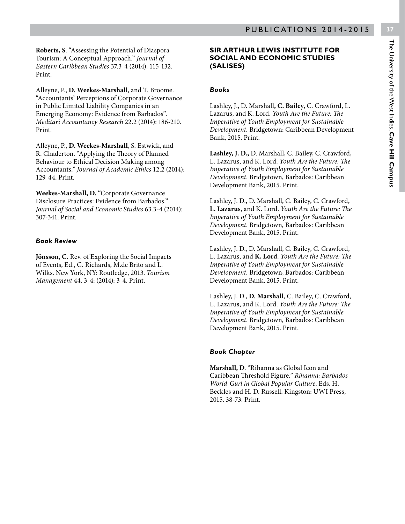Alleyne, P., **D. Weekes-Marshall**, and T. Broome. "Accountants' Perceptions of Corporate Governance in Public Limited Liability Companies in an Emerging Economy: Evidence from Barbados". *Meditari Accountancy Research* 22.2 (2014): 186-210. Print.

Alleyne**,** P., **D. Weekes-Marshall**, S. Estwick, and R. Chaderton. "Applying the Theory of Planned Behaviour to Ethical Decision Making among Accountants." *Journal of Academic Ethics* 12.2 (2014): 129-44. Print.

**Weekes-Marshall, D.** "Corporate Governance Disclosure Practices: Evidence from Barbados." *Journal of Social and Economic Studies* 63.3-4 (2014): 307-341. Print.

#### *Book Review*

Print.

**Jönsson, C.** Rev. of Exploring the Social Impacts of Events, Ed., G. Richards, M.de Brito and L. Wilks. New York, NY: Routledge, 2013. *Tourism Management* 44. 3-4: (2014): 3-4. Print.

#### **SIR ARTHUR LEWIS INSTITUTE FOR SOCIAL AND ECONOMIC STUDIES (SALISES)**

#### *Books*

Lashley, J., D. Marshall**, C. Bailey,** C. Crawford, L. Lazarus, and K. Lord. *Youth Are the Future: The Imperative of Youth Employment for Sustainable Development.* Bridgetown: Caribbean Development Bank, 2015. Print.

**Lashley, J. D.,** D. Marshall, C. Bailey, C. Crawford, L. Lazarus, and K. Lord. *Youth Are the Future: The Imperative of Youth Employment for Sustainable Development.* Bridgetown, Barbados: Caribbean Development Bank, 2015. Print.

Lashley, J. D., D. Marshall, C. Bailey, C. Crawford, **L. Lazarus**, and K. Lord. *Youth Are the Future: The Imperative of Youth Employment for Sustainable Development.* Bridgetown, Barbados: Caribbean Development Bank, 2015. Print.

Lashley, J. D., D. Marshall, C. Bailey, C. Crawford, L. Lazarus, and **K. Lord**. *Youth Are the Future: The Imperative of Youth Employment for Sustainable Development.* Bridgetown, Barbados: Caribbean Development Bank, 2015. Print.

Lashley, J. D., **D. Marshall**, C. Bailey, C. Crawford, L. Lazaru**s**, and K. Lord. *Youth Are the Future: The Imperative of Youth Employment for Sustainable Development.* Bridgetown, Barbados: Caribbean Development Bank, 2015. Print.

#### *Book Chapter*

**Marshall, D**. "Rihanna as Global Icon and Caribbean Threshold Figure." *Rihanna: Barbados World-Gurl in Global Popular Culture*. Eds. H. Beckles and H. D. Russell. Kingston: UWI Press, 2015. 38-73. Print.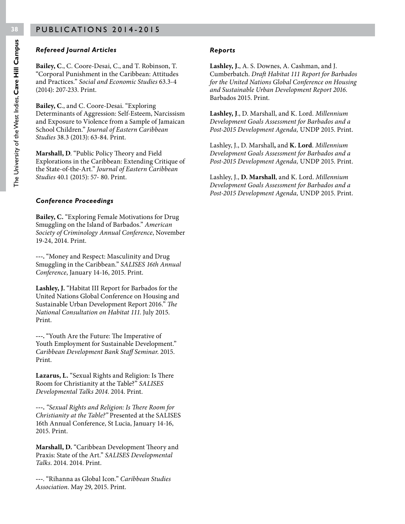#### *Refereed Journal Articles*

**Bailey, C**., C. Coore-Desai, C., and T. Robinson, T. "Corporal Punishment in the Caribbean: Attitudes and Practices." *Social and Economic Studies* 63.3-4 (2014): 207-233. Print.

**Bailey, C**., and C. Coore-Desai. "Exploring Determinants of Aggression: Self-Esteem, Narcissism and Exposure to Violence from a Sample of Jamaican School Children." *Journal of Eastern Caribbean Studies* 38.3 (2013): 63-84. Print.

**Marshall, D**. "Public Policy Theory and Field Explorations in the Caribbean: Extending Critique of the State-of-the-Art." *Journal of Eastern Caribbean Studies* 40.1 (2015): 57- 80. Print.

#### *Conference Proceedings*

**Bailey, C.** "Exploring Female Motivations for Drug Smuggling on the Island of Barbados." *American Society of Criminology Annual Conference*, November 19-24, 2014. Print.

**---.** "Money and Respect: Masculinity and Drug Smuggling in the Caribbean." *SALISES 16th Annual Conference*, January 14-16, 2015. Print.

**Lashley, J.** "Habitat III Report for Barbados for the United Nations Global Conference on Housing and Sustainable Urban Development Report 2016." *The National Consultation on Habitat 111*. July 2015. Print.

**---.** "Youth Are the Future: The Imperative of Youth Employment for Sustainable Development." *Caribbean Development Bank Staff Seminar*. 2015. Print.

**Lazarus, L.** "Sexual Rights and Religion: Is There Room for Christianity at the Table?" *SALISES Developmental Talks 2014*. 2014. Print.

**---.** *"Sexual Rights and Religion: Is There Room for Christianity at the Table?"* Presented at the SALISES 16th Annual Conference, St Lucia, January 14-16, 2015. Print.

**Marshall, D.** "Caribbean Development Theory and Praxis: State of the Art." *SALISES Developmental Talks*. 2014. 2014. Print.

**---**. "Rihanna as Global Icon." *Caribbean Studies Association*. May 29, 2015. Print.

#### *Reports*

**Lashley, J.**, A. S. Downes, A. Cashman, and J. Cumberbatch. *Draft Habitat 111 Report for Barbados for the United Nations Global Conference on Housing and Sustainable Urban Development Report 2016*. Barbados 2015. Print.

**Lashley, J**., D. Marshall, and K. Lord. *Millennium Development Goals Assessment for Barbados and a Post-2015 Development Agenda,* UNDP 2015. Print.

Lashley, J., D. Marshall**,** and **K. Lord**. *Millennium Development Goals Assessment for Barbados and a Post-2015 Development Agenda,* UNDP 2015. Print.

Lashley, J., **D. Marshall**, and K. Lord. *Millennium Development Goals Assessment for Barbados and a Post-2015 Development Agenda,* UNDP 2015. Print.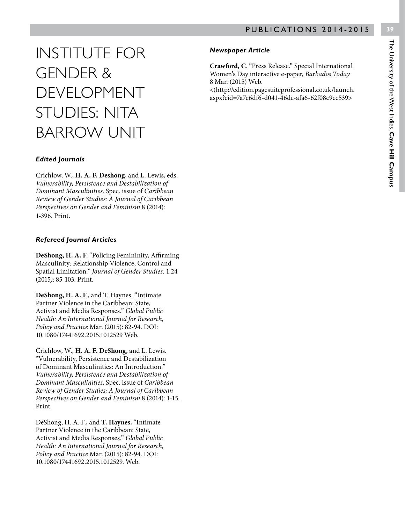## INSTITUTE FOR GENDER & DEVELOPMENT STUDIES: NITA BARROW UNIT

#### *Edited Journals*

Crichlow, W., **H. A. F. Deshong**, and L. Lewis, eds. *Vulnerability, Persistence and Destabilization of Dominant Masculinities*. Spec. issue of *Caribbean Review of Gender Studies: A Journal of Caribbean Perspectives on Gender and Feminism* 8 (2014): 1-396. Print.

#### *Refereed Journal Articles*

**DeShong, H. A. F**. "Policing Femininity, Affirming Masculinity: Relationship Violence, Control and Spatial Limitation." *Journal of Gender Studies.* 1.24 (2015*)*: 85-103. Print.

**DeShong, H. A. F**., and T. Haynes. "Intimate Partner Violence in the Caribbean: State, Activist and Media Responses." *Global Public Health: An International Journal for Research, Policy and Practice* Mar. (2015): 82-94. DOI: 10.1080/17441692.2015.1012529 Web.

Crichlow, W., **H. A. F. DeShong,** and L. Lewis. "Vulnerability, Persistence and Destabilization of Dominant Masculinities: An Introduction." *Vulnerability, Persistence and Destabilization of Dominant Masculinities*, Spec. issue of *Caribbean Review of Gender Studies: A Journal of Caribbean Perspectives on Gender and Feminism* 8 (2014): 1-15. Print.

DeShong, H. A. F., and **T. Haynes.** "Intimate Partner Violence in the Caribbean: State, Activist and Media Responses." *Global Public Health: An International Journal for Research, Policy and Practice* Mar. (2015): 82-94. DOI: 10.1080/17441692.2015.1012529. Web.

#### *Newspaper Article*

**Crawford, C**. "Press Release." Special International Women's Day interactive e-paper, *Barbados Today* 8 Mar. (2015) Web.

<(http://edition.pagesuiteprofessional.co.uk/launch. aspx?eid=7a7e6df6-d041-46dc-afa6-62f08c9cc539>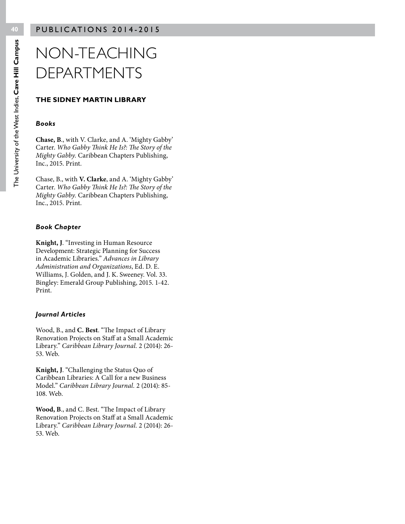## NON-TEACHING DEPARTMENTS

#### **THE SIDNEY MARTIN LIBRARY**

#### *Books*

**Chase, B**., with V. Clarke, and A. 'Mighty Gabby' Carter. *Who Gabby Think He Is?: The Story of the Mighty Gabby.* Caribbean Chapters Publishing, Inc., 2015. Print.

Chase, B., with **V. Clarke**, and A. 'Mighty Gabby' Carter. *Who Gabby Think He Is?: The Story of the Mighty Gabby.* Caribbean Chapters Publishing, Inc., 2015. Print.

#### *Book Chapter*

**Knight, J**. "Investing in Human Resource Development: Strategic Planning for Success in Academic Libraries." *Advances in Library Administration and Organizations*, Ed. D. E. Williams, J. Golden, and J. K. Sweeney. Vol. 33. Bingley: Emerald Group Publishing, 2015. 1-42. Print.

#### *Journal Articles*

Wood, B., and **C. Best**. "The Impact of Library Renovation Projects on Staff at a Small Academic Library." *Caribbean Library Journal.* 2 (2014): 26- 53. Web.

**Knight, J**. "Challenging the Status Quo of Caribbean Libraries: A Call for a new Business Model." *Caribbean Library Journal.* 2 (2014): 85- 108. Web.

**Wood, B**., and C. Best. "The Impact of Library Renovation Projects on Staff at a Small Academic Library." *Caribbean Library Journal.* 2 (2014): 26- 53. Web.